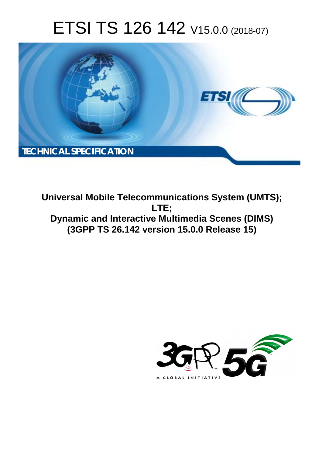# ETSI TS 126 142 V15.0.0 (2018-07)



**Universal Mobile Telecommunications System (UMTS); LTE; Dynamic and Interactive Multimedia Scenes (DIMS) (3GPP TS 26.142 version 15.0.0 Release 15)** 

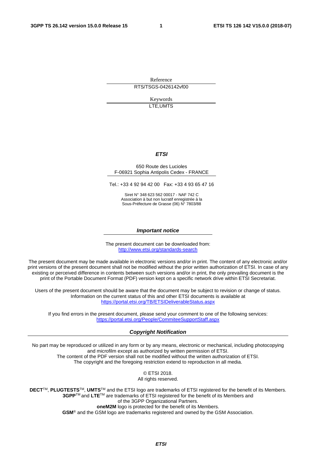Reference RTS/TSGS-0426142vf00

> Keywords LTE,UMTS

### *ETSI*

#### 650 Route des Lucioles F-06921 Sophia Antipolis Cedex - FRANCE

Tel.: +33 4 92 94 42 00 Fax: +33 4 93 65 47 16

Siret N° 348 623 562 00017 - NAF 742 C Association à but non lucratif enregistrée à la Sous-Préfecture de Grasse (06) N° 7803/88

#### *Important notice*

The present document can be downloaded from: <http://www.etsi.org/standards-search>

The present document may be made available in electronic versions and/or in print. The content of any electronic and/or print versions of the present document shall not be modified without the prior written authorization of ETSI. In case of any existing or perceived difference in contents between such versions and/or in print, the only prevailing document is the print of the Portable Document Format (PDF) version kept on a specific network drive within ETSI Secretariat.

Users of the present document should be aware that the document may be subject to revision or change of status. Information on the current status of this and other ETSI documents is available at <https://portal.etsi.org/TB/ETSIDeliverableStatus.aspx>

If you find errors in the present document, please send your comment to one of the following services: <https://portal.etsi.org/People/CommiteeSupportStaff.aspx>

#### *Copyright Notification*

No part may be reproduced or utilized in any form or by any means, electronic or mechanical, including photocopying and microfilm except as authorized by written permission of ETSI. The content of the PDF version shall not be modified without the written authorization of ETSI. The copyright and the foregoing restriction extend to reproduction in all media.

> © ETSI 2018. All rights reserved.

**DECT**TM, **PLUGTESTS**TM, **UMTS**TM and the ETSI logo are trademarks of ETSI registered for the benefit of its Members. **3GPP**TM and **LTE**TM are trademarks of ETSI registered for the benefit of its Members and of the 3GPP Organizational Partners. **oneM2M** logo is protected for the benefit of its Members.

**GSM**® and the GSM logo are trademarks registered and owned by the GSM Association.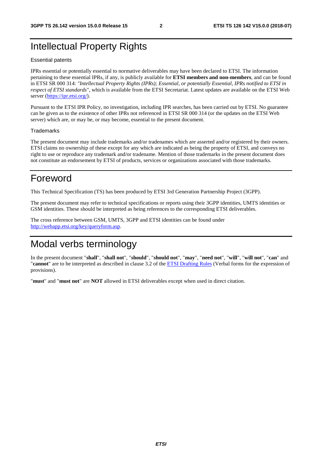## Intellectual Property Rights

#### Essential patents

IPRs essential or potentially essential to normative deliverables may have been declared to ETSI. The information pertaining to these essential IPRs, if any, is publicly available for **ETSI members and non-members**, and can be found in ETSI SR 000 314: *"Intellectual Property Rights (IPRs); Essential, or potentially Essential, IPRs notified to ETSI in respect of ETSI standards"*, which is available from the ETSI Secretariat. Latest updates are available on the ETSI Web server ([https://ipr.etsi.org/\)](https://ipr.etsi.org/).

Pursuant to the ETSI IPR Policy, no investigation, including IPR searches, has been carried out by ETSI. No guarantee can be given as to the existence of other IPRs not referenced in ETSI SR 000 314 (or the updates on the ETSI Web server) which are, or may be, or may become, essential to the present document.

### **Trademarks**

The present document may include trademarks and/or tradenames which are asserted and/or registered by their owners. ETSI claims no ownership of these except for any which are indicated as being the property of ETSI, and conveys no right to use or reproduce any trademark and/or tradename. Mention of those trademarks in the present document does not constitute an endorsement by ETSI of products, services or organizations associated with those trademarks.

## Foreword

This Technical Specification (TS) has been produced by ETSI 3rd Generation Partnership Project (3GPP).

The present document may refer to technical specifications or reports using their 3GPP identities, UMTS identities or GSM identities. These should be interpreted as being references to the corresponding ETSI deliverables.

The cross reference between GSM, UMTS, 3GPP and ETSI identities can be found under [http://webapp.etsi.org/key/queryform.asp.](http://webapp.etsi.org/key/queryform.asp)

## Modal verbs terminology

In the present document "**shall**", "**shall not**", "**should**", "**should not**", "**may**", "**need not**", "**will**", "**will not**", "**can**" and "**cannot**" are to be interpreted as described in clause 3.2 of the [ETSI Drafting Rules](https://portal.etsi.org/Services/editHelp!/Howtostart/ETSIDraftingRules.aspx) (Verbal forms for the expression of provisions).

"**must**" and "**must not**" are **NOT** allowed in ETSI deliverables except when used in direct citation.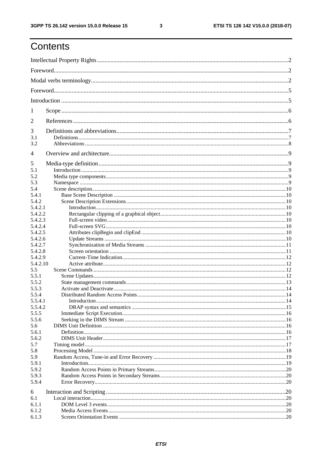$\mathbf{3}$ 

## Contents

| 1                  |  |
|--------------------|--|
| 2                  |  |
| 3                  |  |
| 3.1                |  |
| 3.2                |  |
| 4                  |  |
| 5                  |  |
| 5.1                |  |
| 5.2                |  |
| 5.3                |  |
| 5.4                |  |
| 5.4.1              |  |
| 5.4.2              |  |
| 5.4.2.1            |  |
| 5.4.2.2            |  |
| 5.4.2.3            |  |
| 5.4.2.4            |  |
| 5.4.2.5<br>5.4.2.6 |  |
| 5.4.2.7            |  |
| 5.4.2.8            |  |
| 5.4.2.9            |  |
| 5.4.2.10           |  |
| 5.5                |  |
| 5.5.1              |  |
| 5.5.2              |  |
| 5.5.3              |  |
| 5.5.4              |  |
| 5.5.4.1            |  |
| 5.5.4.2            |  |
| 5.5.5              |  |
| 5.5.6              |  |
| 5.6                |  |
| 5.6.1              |  |
| 5.6.2              |  |
| 5.7                |  |
| 5.8                |  |
| 5.9                |  |
| 5.9.1              |  |
| 5.9.2<br>5.9.3     |  |
| 5.9.4              |  |
|                    |  |
| 6                  |  |
| 6.1                |  |
| 6.1.1              |  |
| 6.1.2<br>6.1.3     |  |
|                    |  |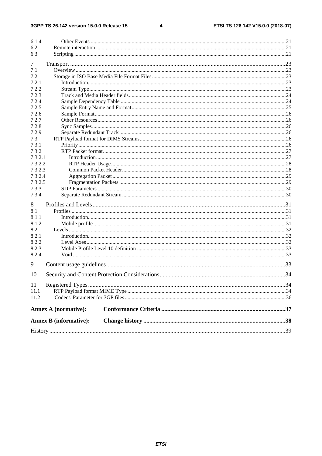$\overline{\mathbf{4}}$ 

|            | <b>Annex B</b> (informative): |  |
|------------|-------------------------------|--|
|            | <b>Annex A (normative):</b>   |  |
| 11.2       |                               |  |
| 11<br>11.1 |                               |  |
| 10         |                               |  |
|            |                               |  |
| 9          |                               |  |
| 8.2.4      |                               |  |
| 8.2.3      |                               |  |
| 8.2.2      |                               |  |
| 8.2.1      |                               |  |
| 8.2        |                               |  |
| 8.1.2      |                               |  |
| 8.1.1      |                               |  |
| 8<br>8.1   |                               |  |
| 7.3.4      |                               |  |
| 7.3.3      |                               |  |
| 7.3.2.5    |                               |  |
| 7.3.2.4    |                               |  |
| 7.3.2.3    |                               |  |
| 7.3.2.2    |                               |  |
| 7.3.2.1    |                               |  |
| 7.3.2      |                               |  |
| 7.3.1      |                               |  |
| 7.3        |                               |  |
| 7.2.9      |                               |  |
| 7.2.8      |                               |  |
| 7.2.7      |                               |  |
| 7.2.6      |                               |  |
| 7.2.5      |                               |  |
| 7.2.4      |                               |  |
| 7.2.3      |                               |  |
| 7.2.2      |                               |  |
| 7.2.1      |                               |  |
| 7.2        |                               |  |
| 7.1        |                               |  |
| 7          |                               |  |
|            |                               |  |
| 6.3        |                               |  |
| 6.2        |                               |  |
| 6.1.4      |                               |  |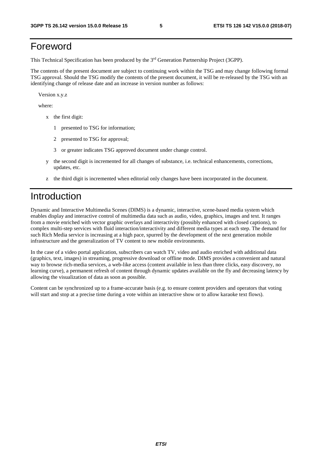## Foreword

This Technical Specification has been produced by the 3rd Generation Partnership Project (3GPP).

The contents of the present document are subject to continuing work within the TSG and may change following formal TSG approval. Should the TSG modify the contents of the present document, it will be re-released by the TSG with an identifying change of release date and an increase in version number as follows:

Version x.y.z

where:

- x the first digit:
	- 1 presented to TSG for information;
	- 2 presented to TSG for approval;
	- 3 or greater indicates TSG approved document under change control.
- y the second digit is incremented for all changes of substance, i.e. technical enhancements, corrections, updates, etc.
- z the third digit is incremented when editorial only changes have been incorporated in the document.

## Introduction

Dynamic and Interactive Multimedia Scenes (DIMS) is a dynamic, interactive, scene-based media system which enables display and interactive control of multimedia data such as audio, video, graphics, images and text. It ranges from a movie enriched with vector graphic overlays and interactivity (possibly enhanced with closed captions), to complex multi-step services with fluid interaction/interactivity and different media types at each step. The demand for such Rich Media service is increasing at a high pace, spurred by the development of the next generation mobile infrastructure and the generalization of TV content to new mobile environments.

In the case of a video portal application, subscribers can watch TV, video and audio enriched with additional data (graphics, text, images) in streaming, progressive download or offline mode. DIMS provides a convenient and natural way to browse rich-media services, a web-like access (content available in less than three clicks, easy discovery, no learning curve), a permanent refresh of content through dynamic updates available on the fly and decreasing latency by allowing the visualization of data as soon as possible.

Content can be synchronized up to a frame-accurate basis (e.g. to ensure content providers and operators that voting will start and stop at a precise time during a vote within an interactive show or to allow karaoke text flows).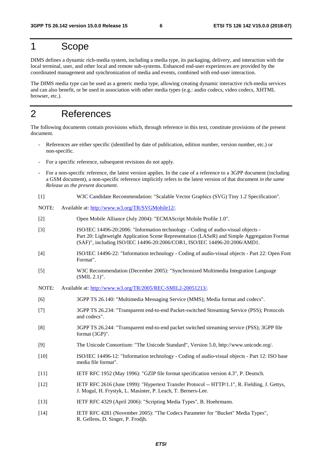## 1 Scope

DIMS defines a dynamic rich-media system, including a media type, its packaging, delivery, and interaction with the local terminal, user, and other local and remote sub-systems. Enhanced end-user experiences are provided by the coordinated management and synchronization of media and events, combined with end-user interaction.

The DIMS media type can be used as a generic media type, allowing creating dynamic interactive rich-media services and can also benefit, or be used in association with other media types (e.g.: audio codecs, video codecs, XHTML browser, etc.).

## 2 References

The following documents contain provisions which, through reference in this text, constitute provisions of the present document.

- References are either specific (identified by date of publication, edition number, version number, etc.) or non-specific.
- For a specific reference, subsequent revisions do not apply.
- For a non-specific reference, the latest version applies. In the case of a reference to a 3GPP document (including a GSM document), a non-specific reference implicitly refers to the latest version of that document *in the same Release as the present document*.
- [1] W3C Candidate Recommendation: "Scalable Vector Graphics (SVG) Tiny 1.2 Specification".
- NOTE: Available at: [http://www.w3.org/TR/SVGMobile12/.](http://www.w3.org/TR/SVGMobile12/)
- [2] Open Mobile Alliance (July 2004): "ECMAScript Mobile Profile 1.0".
- [3] ISO/IEC 14496-20:2006: "Information technology Coding of audio-visual objects Part 20: Lightweight Application Scene Representation (LASeR) and Simple Aggregation Format (SAF)", including ISO/IEC 14496-20:2006/COR1, ISO/IEC 14496-20:2006/AMD1.
- [4] ISO/IEC 14496-22: "Information technology Coding of audio-visual objects Part 22: Open Font Format".
- [5] W3C Recommendation (December 2005): "Synchronized Multimedia Integration Language (SMIL 2.1)".
- NOTE: Available at:<http://www.w3.org/TR/2005/REC-SMIL2-20051213/>.
- [6] 3GPP TS 26.140: "Multimedia Messaging Service (MMS); Media format and codecs".
- [7] 3GPP TS 26.234: "Transparent end-to-end Packet-switched Streaming Service (PSS); Protocols and codecs".
- [8] 3GPP TS 26.244: "Transparent end-to-end packet switched streaming service (PSS); 3GPP file format (3GP)".
- [9] The Unicode Consortium: "The Unicode Standard", Version 5.0, http://www.unicode.org/.
- [10] ISO/IEC 14496-12: "Information technology Coding of audio-visual objects Part 12: ISO base media file format".
- [11] IETF RFC 1952 (May 1996): "GZIP file format specification version 4.3", P. Deutsch.
- [12] IETF RFC 2616 (June 1999): "Hypertext Transfer Protocol -- HTTP/1.1", R. Fielding, J. Gettys, J. Mogul, H. Frystyk, L. Masinter, P. Leach, T. Berners-Lee.
- [13] IETF RFC 4329 (April 2006): "Scripting Media Types", B. Hoehrmann.
- [14] IETF RFC 4281 (November 2005): "The Codecs Parameter for "Bucket" Media Types", R. Gellens, D. Singer, P. Frodjh.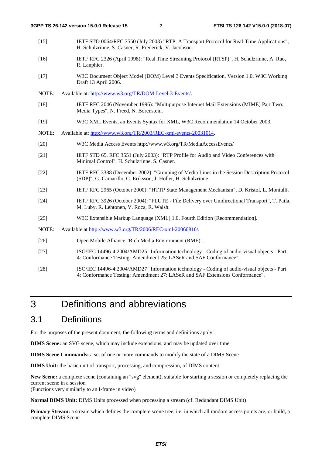- [15] IETF STD 0064/RFC 3550 (July 2003) "RTP: A Transport Protocol for Real-Time Applications", H. Schulzrinne, S. Casner, R. Frederick, V. Jacobson.
- [16] IETF RFC 2326 (April 1998): "Real Time Streaming Protocol (RTSP)", H. Schulzrinne, A. Rao, R. Lanphier.
- [17] W3C Document Object Model (DOM) Level 3 Events Specification, Version 1.0, W3C Working Draft 13 April 2006.
- NOTE: Available at: [http://www.w3.org/TR/DOM-Level-3-Events/.](http://www.w3.org/TR/DOM-Level-3-Events/)
- [18] IETF RFC 2046 (November 1996): "Multipurpose Internet Mail Extensions (MIME) Part Two: Media Types", N. Freed, N. Borenstein.
- [19] W3C XML Events, an Events Syntax for XML, W3C Recommendation 14 October 2003.
- NOTE: Available at:<http://www.w3.org/TR/2003/REC-xml-events-20031014>.
- [20] W3C Media Access Events http://www.w3.org/TR/MediaAccessEvents/
- [21] IETF STD 65, RFC 3551 (July 2003): "RTP Profile for Audio and Video Conferences with Minimal Control", H. Schulzrinne, S. Casner.
- [22] IETF RFC 3388 (December 2002): "Grouping of Media Lines in the Session Description Protocol (SDP)", G. Camarillo, G. Eriksson, J. Holler, H. Schulzrinne.
- [23] IETF RFC 2965 (October 2000): "HTTP State Management Mechanism", D. Kristol, L. Montulli.
- [24] IETF RFC 3926 (October 2004): "FLUTE File Delivery over Unidirectional Transport", T. Paila, M. Luby, R. Lehtonen, V. Roca, R. Walsh.
- [25] W3C Extensible Markup Language (XML) 1.0, Fourth Edition [Recommendation].

NOTE: Available at <http://www.w3.org/TR/2006/REC-xml-20060816/>.

- [26] Open Mobile Alliance "Rich Media Environment (RME)".
- [27] ISO/IEC 14496-4:2004/AMD25 "Information technology Coding of audio-visual objects Part 4: Conformance Testing: Amendment 25: LASeR and SAF Conformance".
- [28] ISO/IEC 14496-4:2004/AMD27 "Information technology Coding of audio-visual objects Part 4: Conformance Testing: Amendment 27: LASeR and SAF Extensions Conformance".

3 Definitions and abbreviations

## 3.1 Definitions

For the purposes of the present document, the following terms and definitions apply:

**DIMS Scene:** an SVG scene, which may include extensions, and may be updated over time

**DIMS Scene Commands:** a set of one or more commands to modify the state of a DIMS Scene

**DIMS Unit:** the basic unit of transport, processing, and compression, of DIMS content

**New Scene:** a complete scene (containing an "svg" element), suitable for starting a session or completely replacing the current scene in a session

(Functions very similarly to an I-frame in video)

**Normal DIMS Unit:** DIMS Units processed when processing a stream (cf. Redundant DIMS Unit)

**Primary Stream:** a stream which defines the complete scene tree, i.e. in which all random access points are, or build, a complete DIMS Scene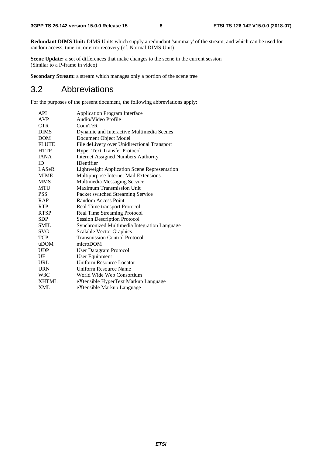**Redundant DIMS Unit:** DIMS Units which supply a redundant 'summary' of the stream, and which can be used for random access, tune-in, or error recovery (cf. Normal DIMS Unit)

**Scene Update:** a set of differences that make changes to the scene in the current session (Similar to a P-frame in video)

**Secondary Stream:** a stream which manages only a portion of the scene tree

## 3.2 Abbreviations

For the purposes of the present document, the following abbreviations apply:

| <b>API</b>   | <b>Application Program Interface</b>                |
|--------------|-----------------------------------------------------|
| <b>AVP</b>   | Audio/Video Profile                                 |
| <b>CTR</b>   | CounTeR                                             |
| <b>DIMS</b>  | Dynamic and Interactive Multimedia Scenes           |
| <b>DOM</b>   | Document Object Model                               |
| <b>FLUTE</b> | File deLivery over Unidirectional Transport         |
| <b>HTTP</b>  | <b>Hyper Text Transfer Protocol</b>                 |
| <b>JANA</b>  | <b>Internet Assigned Numbers Authority</b>          |
| ID           | <b>IDentifier</b>                                   |
| LASeR        | <b>Lightweight Application Scene Representation</b> |
| <b>MIME</b>  | Multipurpose Internet Mail Extensions               |
| <b>MMS</b>   | Multimedia Messaging Service                        |
| <b>MTU</b>   | <b>Maximum Transmission Unit</b>                    |
| <b>PSS</b>   | Packet switched Streaming Service                   |
| <b>RAP</b>   | Random Access Point                                 |
| <b>RTP</b>   | Real-Time transport Protocol                        |
| <b>RTSP</b>  | Real Time Streaming Protocol                        |
| <b>SDP</b>   | <b>Session Description Protocol</b>                 |
| SMIL         | Synchronized Multimedia Integration Language        |
| SVG          | <b>Scalable Vector Graphics</b>                     |
| <b>TCP</b>   | <b>Transmission Control Protocol</b>                |
| uDOM         | microDOM                                            |
| <b>UDP</b>   | <b>User Datagram Protocol</b>                       |
| UE           | <b>User Equipment</b>                               |
| URL          | <b>Uniform Resource Locator</b>                     |
| <b>URN</b>   | Uniform Resource Name                               |
| W3C          | World Wide Web Consortium                           |
| <b>XHTML</b> | eXtensible HyperText Markup Language                |
| <b>XML</b>   | eXtensible Markup Language                          |
|              |                                                     |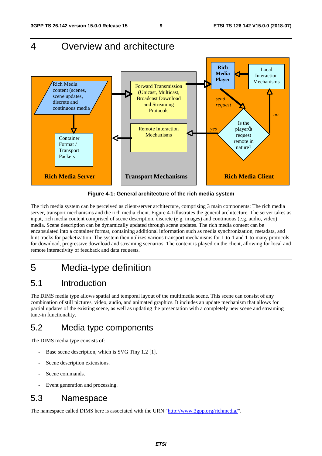## 4 Overview and architecture



**Figure 4-1: General architecture of the rich media system** 

The rich media system can be perceived as client-server architecture, comprising 3 main components: The rich media server, transport mechanisms and the rich media client. Figure 4-1illustrates the general architecture. The server takes as input, rich media content comprised of scene description, discrete (e.g. images) and continuous (e.g. audio, video) media. Scene description can be dynamically updated through scene updates. The rich media content can be encapsulated into a container format, containing additional information such as media synchronization, metadata, and hint tracks for packetization. The system then utilizes various transport mechanisms for 1-to-1 and 1-to-many protocols for download, progressive download and streaming scenarios. The content is played on the client, allowing for local and remote interactivity of feedback and data requests.

## 5 Media-type definition

## 5.1 Introduction

The DIMS media type allows spatial and temporal layout of the multimedia scene. This scene can consist of any combination of still pictures, video, audio, and animated graphics. It includes an update mechanism that allows for partial updates of the existing scene, as well as updating the presentation with a completely new scene and streaming tune-in functionality.

## 5.2 Media type components

The DIMS media type consists of:

- Base scene description, which is SVG Tiny 1.2 [1].
- Scene description extensions.
- Scene commands.
- Event generation and processing.

## 5.3 Namespace

The namespace called DIMS here is associated with the URN ["http://www.3gpp.org/richmedia/](http://www.3gpp.org/richmedia/)".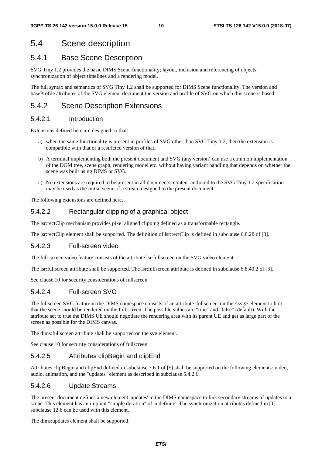## 5.4 Scene description

## 5.4.1 Base Scene Description

SVG Tiny 1.2 provides the basic DIMS Scene functionality; layout, inclusion and referencing of objects, synchronization of object timelines and a rendering model.

The full syntax and semantics of SVG Tiny 1.2 shall be supported for DIMS Scene functionality. The version and baseProfile attributes of the SVG element document the version and profile of SVG on which this scene is based.

## 5.4.2 Scene Description Extensions

### 5.4.2.1 Introduction

Extensions defined here are designed so that:

- a) when the same functionality is present in profiles of SVG other than SVG Tiny 1.2, then the extension is compatible with that or a restricted version of that.
- b) A terminal implementing both the present document and SVG (any version) can use a common implementation of the DOM tree, scene graph, rendering model etc. without having variant handling that depends on whether the scene was built using DIMS or SVG.
- c) No extensions are required to be present in all documents; content authored to the SVG Tiny 1.2 specification may be used as the initial scene of a stream designed to the present document.

The following extensions are defined here.

### 5.4.2.2 Rectangular clipping of a graphical object

The lsr:rectClip mechanism provides pixel aligned clipping defined as a transformable rectangle.

The lsr:rectClip element shall be supported. The definition of lsr:rectClip is defined in subclause 6.8.28 of [3].

### 5.4.2.3 Full-screen video

The full-screen video feature consists of the attribute lsr:fullscreen on the SVG video element.

The lsr:fullscreen attribute shall be supported. The lsr:fullscreen attribute is defined in subclause 6.8.40.2 of [3].

See clause 10 for security considerations of fullscreen.

### 5.4.2.4 Full-screen SVG

The fullscreen SVG feature in the DIMS namespace consists of an attribute 'fullscreen' on the <svg> element to hint that the scene should be rendered on the full screen. The possible values are "true" and "false" (default). With the attribute set to true the DIMS UE should negotiate the rendering area with its parent UE and get as large part of the screen as possible for the DIMS canvas.

The dims:fullscreen attribute shall be supported on the svg element.

See clause 10 for security considerations of fullscreen.

### 5.4.2.5 Attributes clipBegin and clipEnd

Attributes clipBegin and clipEnd defined in subclause 7.6.1 of [5] shall be supported on the following elements: video, audio, animation, and the "updates" element as described in subclause 5.4.2.6.

### 5.4.2.6 Update Streams

The present document defines a new element 'updates' in the DIMS namespace to link secondary streams of updates to a scene. This element has an implicit "simple duration" of 'indefinite'. The synchronization attributes defined in [1] subclause 12.6 can be used with this element.

The dims:updates element shall be supported.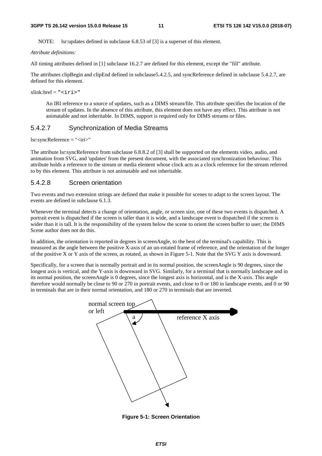NOTE: lsr:updates defined in subclause 6.8.53 of [3] is a superset of this element.

*Attribute definitions:*

All timing attributes defined in [1] subclause 16.2.7 are defined for this element, except the "fill" attribute.

The attributes clipBegin and clipEnd defined in subclause5.4.2.5, and syncReference defined in subclause 5.4.2.7, are defined for this element.

 $xlink: href = "siris"$ 

 An IRI reference to a source of updates, such as a DIMS stream/file. This attribute specifies the location of the stream of updates. In the absence of this attribute, this element does not have any effect. This attribute is not animatable and not inheritable. In DIMS, support is required only for DIMS streams or files.

### 5.4.2.7 Synchronization of Media Streams

```
lsr:syncReference = "<iri>"
```
The attribute lsr:syncReference from subclause 6.8.8.2 of [3] shall be supported on the elements video, audio, and animation from SVG, and 'updates' from the present document, with the associated synchronization behaviour. This attribute holds a reference to the stream or media element whose clock acts as a clock reference for the stream referred to by this element. This attribute is not animatable and not inheritable.

### 5.4.2.8 Screen orientation

Two events and two extension strings are defined that make it possible for scenes to adapt to the screen layout. The events are defined in subclause 6.1.3.

Whenever the terminal detects a change of orientation, angle, or screen size, one of these two events is dispatched. A portrait event is dispatched if the screen is taller than it is wide, and a landscape event is dispatched if the screen is wider than it is tall. It is the responsibility of the system below the scene to orient the screen buffer to user; the DIMS Scene author does not do this.

In addition, the orientation is reported in degrees in screenAngle, to the best of the terminal's capability. This is measured as the angle between the positive X-axis of an un-rotated frame of reference, and the orientation of the longer of the positive X or Y axis of the screen, as rotated, as shown in Figure 5-1. Note that the SVG Y axis is downward.

Specifically, for a screen that is normally portrait and in its normal position, the screenAngle is 90 degrees, since the longest axis is vertical, and the Y-axis is downward in SVG. Similarly, for a terminal that is normally landscape and in its normal position, the screenAngle is 0 degrees, since the longest axis is horizontal, and is the X-axis. This angle therefore would normally be close to 90 or 270 in portrait events, and close to 0 or 180 in landscape events, and 0 or 90 in terminals that are in their normal orientation, and 180 or 270 in terminals that are inverted.



**Figure 5-1: Screen Orientation**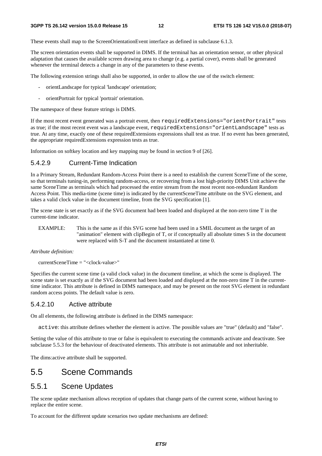These events shall map to the ScreenOrientationEvent interface as defined in subclause 6.1.3.

The screen orientation events shall be supported in DIMS. If the terminal has an orientation sensor, or other physical adaptation that causes the available screen drawing area to change (e.g. a partial cover), events shall be generated whenever the terminal detects a change in any of the parameters to these events.

The following extension strings shall also be supported, in order to allow the use of the switch element:

- orientLandscape for typical 'landscape' orientation;
- orientPortrait for typical 'portrait' orientation.

The namespace of these feature strings is DIMS.

If the most recent event generated was a portrait event, then requiredExtensions="orientPortrait" tests as true; if the most recent event was a landscape event, requiredExtensions="orientLandscape" tests as true. At any time, exactly one of these requiredExtensions expressions shall test as true. If no event has been generated, the appropriate requiredExtensions expression tests as true.

Information on softkey location and key mapping may be found in section 9 of [26].

### 5.4.2.9 Current-Time Indication

In a Primary Stream, Redundant Random-Access Point there is a need to establish the current SceneTime of the scene, so that terminals tuning-in, performing random-access, or recovering from a lost high-priority DIMS Unit achieve the same SceneTime as terminals which had processed the entire stream from the most recent non-redundant Random Access Point. This media-time (scene time) is indicated by the currentSceneTime attribute on the SVG element, and takes a valid clock value in the document timeline, from the SVG specification [1].

The scene state is set exactly as if the SVG document had been loaded and displayed at the non-zero time T in the current-time indicator.

EXAMPLE: This is the same as if this SVG scene had been used in a SMIL document as the target of an "animation" element with clipBegin of T, or if conceptually all absolute times S in the document were replaced with S-T and the document instantiated at time 0.

#### *Attribute definition:*

 $currentSeen$ e $Time$  = " $< clock-value$ "

Specifies the current scene time (a valid clock value) in the document timeline, at which the scene is displayed. The scene state is set exactly as if the SVG document had been loaded and displayed at the non-zero time T in the currenttime indicator. This attribute is defined in DIMS namespace, and may be present on the root SVG element in redundant random access points. The default value is zero.

### 5.4.2.10 Active attribute

On all elements, the following attribute is defined in the DIMS namespace:

active: this attribute defines whether the element is active. The possible values are "true" (default) and "false".

Setting the value of this attribute to true or false is equivalent to executing the commands activate and deactivate. See subclause 5.5.3 for the behaviour of deactivated elements. This attribute is not animatable and not inheritable.

The dims:active attribute shall be supported.

## 5.5 Scene Commands

### 5.5.1 Scene Updates

The scene update mechanism allows reception of updates that change parts of the current scene, without having to replace the entire scene.

To account for the different update scenarios two update mechanisms are defined: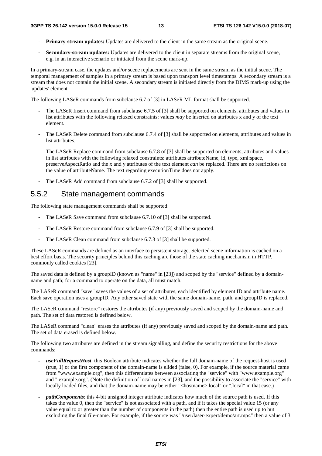- **Primary-stream updates:** Updates are delivered to the client in the same stream as the original scene.
- **Secondary-stream updates:** Updates are delivered to the client in separate streams from the original scene, e.g. in an interactive scenario or initiated from the scene mark-up.

In a primary-stream case, the updates and/or scene replacements are sent in the same stream as the initial scene. The temporal management of samples in a primary stream is based upon transport level timestamps. A secondary stream is a stream that does not contain the initial scene. A secondary stream is initiated directly from the DIMS mark-up using the 'updates' element.

The following LASeR commands from subclause 6.7 of [3] in LASeR ML format shall be supported.

- The LASeR Insert command from subclause 6.7.5 of [3] shall be supported on elements, attributes and values in list attributes with the following relaxed constraints: values *may* be inserted on attributes x and y of the text element.
- The LASeR Delete command from subclause 6.7.4 of [3] shall be supported on elements, attributes and values in list attributes.
- The LASeR Replace command from subclause 6.7.8 of [3] shall be supported on elements, attributes and values in list attributes with the following relaxed constraints: attributes attributeName, id, type, xml:space, preserveAspectRatio and the x and y attributes of the text element *can* be replaced. There are no restrictions on the value of attributeName. The text regarding executionTime does not apply.
- The LASeR Add command from subclause 6.7.2 of [3] shall be supported.

## 5.5.2 State management commands

The following state management commands shall be supported:

- The LASeR Save command from subclause 6.7.10 of [3] shall be supported.
- The LASeR Restore command from subclause 6.7.9 of [3] shall be supported.
- The LASeR Clean command from subclause 6.7.3 of [3] shall be supported.

These LASeR commands are defined as an interface to persistent storage. Selected scene information is cached on a best effort basis. The security principles behind this caching are those of the state caching mechanism in HTTP, commonly called cookies [23].

The saved data is defined by a groupID (known as "name" in [23]) and scoped by the "service" defined by a domainname and path; for a command to operate on the data, all must match.

The LASeR command "save" saves the values of a set of attributes, each identified by element ID and attribute name. Each save operation uses a groupID. Any other saved state with the same domain-name, path, and groupID is replaced.

The LASeR command "restore" restores the attributes (if any) previously saved and scoped by the domain-name and path. The set of data restored is defined below.

The LASeR command "clean" erases the attributes (if any) previously saved and scoped by the domain-name and path. The set of data erased is defined below.

The following two attributes are defined in the stream signalling, and define the security restrictions for the above commands:

- *useFullRequestHost*: this Boolean attribute indicates whether the full domain-name of the request-host is used (true, 1) or the first component of the domain-name is elided (false, 0). For example, if the source material came from "www.example.org", then this differentiates between associating the "service" with "www.example.org" and ".example.org". (Note the definition of local names in [23], and the possibility to associate the "service" with locally loaded files, and that the domain-name may be either "<hostname>.local" or ".local" in that case.)
- *pathComponents*: this 4-bit unsigned integer attribute indicates how much of the source path is used. If this takes the value 0, then the "service" is not associated with a path, and if it takes the special value 15 (or any value equal to or greater than the number of components in the path) then the entire path is used up to but excluding the final file-name. For example, if the source was "/user/laser-expert/demo/art.mp4" then a value of 3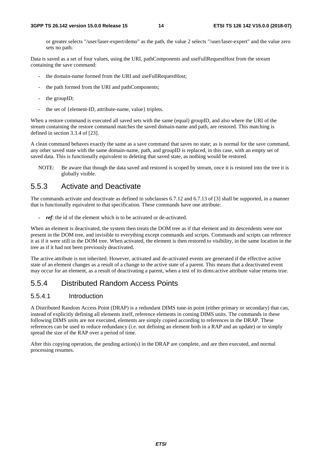or greater selects "/user/laser-expert/demo" as the path, the value 2 selects "/user/laser-expert" and the value zero sets no path.

Data is saved as a set of four values, using the URI, pathComponents and useFullRequestHost from the stream containing the save command:

- the domain-name formed from the URI and useFullRequestHost;
- the path formed from the URI and pathComponents;
- the groupID;
- the set of {element-ID, attribute-name, value} triplets.

When a restore command is executed all saved sets with the same (equal) groupID, and also where the URI of the stream containing the restore command matches the saved domain-name and path, are restored. This matching is defined in section 3.3.4 of [23].

A clean command behaves exactly the same as a save command that saves no state; as is normal for the save command, any other saved state with the same domain-name, path, and groupID is replaced, in this case, with an empty set of saved data. This is functionally equivalent to deleting that saved state, as nothing would be restored.

NOTE: Be aware that though the data saved and restored is scoped by stream, once it is restored into the tree it is globally visible.

### 5.5.3 Activate and Deactivate

The commands activate and deactivate as defined in subclauses 6.7.12 and 6.7.13 of [3] shall be supported, in a manner that is functionally equivalent to that specification. These commands have one attribute:

*ref*: the id of the element which is to be activated or de-activated.

When an element is deactivated, the system then treats the DOM tree as if that element and its descendents were not present in the DOM tree, and invisible to everything except commands and scripts. Commands and scripts can reference it as if it were still in the DOM tree. When activated, the element is then restored to visibility, in the same location in the tree as if it had not been previously deactivated.

The active attribute is not inherited. However, activated and de-activated events are generated if the effective active state of an element changes as a result of a change to the active state of a parent. This means that a deactivated event may occur for an element, as a result of deactivating a parent, when a test of its dims:active attribute value returns true.

## 5.5.4 Distributed Random Access Points

### 5.5.4.1 Introduction

A Distributed Random Access Point (DRAP) is a redundant DIMS tune-in point (either primary or secondary) that can, instead of explicitly defining all elements itself, reference elements in coming DIMS units. The commands in these following DIMS units are not executed, elements are simply copied according to references in the DRAP. These references can be used to reduce redundancy (i.e. not defining an element both in a RAP and an update) or to simply spread the size of the RAP over a period of time.

After this copying operation, the pending action(s) in the DRAP are complete, and are then executed, and normal processing resumes.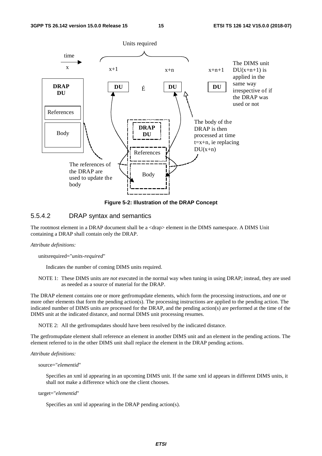

**Figure 5-2: Illustration of the DRAP Concept** 

### 5.5.4.2 DRAP syntax and semantics

The rootmost element in a DRAP document shall be a  $\langle \text{drap} \rangle$  element in the DIMS namespace. A DIMS Unit containing a DRAP shall contain only the DRAP.

#### *Attribute definitions:*

#### unitsrequired="*units-required*"

Indicates the number of coming DIMS units required.

NOTE 1: These DIMS units are *not* executed in the normal way when tuning in using DRAP; instead, they are used as needed as a source of material for the DRAP.

The DRAP element contains one or more getfromupdate elements, which form the processing instructions, and one or more other elements that form the pending action(s). The processing instructions are applied to the pending action. The indicated number of DIMS units are processed for the DRAP, and the pending action(s) are performed at the time of the DIMS unit at the indicated distance, and normal DIMS unit processing resumes.

NOTE 2: All the getfromupdates should have been resolved by the indicated distance.

The getfromupdate element shall reference an element in another DIMS unit and an element in the pending actions. The element referred to in the other DIMS unit shall replace the element in the DRAP pending actions.

*Attribute definitions:* 

#### source="*elementid*"

Specifies an xml id appearing in an upcoming DIMS unit. If the same xml id appears in different DIMS units, it shall not make a difference which one the client chooses.

#### target="*elementid*"

Specifies an xml id appearing in the DRAP pending action(s).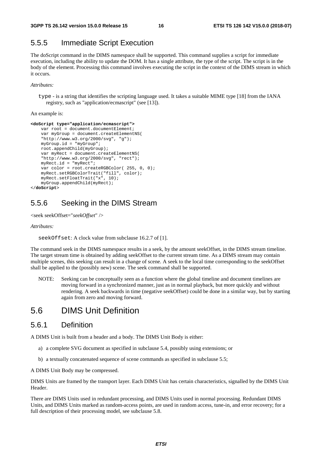## 5.5.5 Immediate Script Execution

The doScript command in the DIMS namespace shall be supported. This command supplies a script for immediate execution, including the ability to update the DOM. It has a single attribute, the type of the script. The script is in the body of the element. Processing this command involves executing the script in the context of the DIMS stream in which it occurs.

*Attributes:* 

type - is a string that identifies the scripting language used. It takes a suitable MIME type [18] from the IANA registry, such as "application/ecmascript" (see [13]).

An example is:

```
<doScript type="application/ecmascript"> 
    var root = document.documentElement;
     var myGroup = document.createElementNS( 
     "http://www.w3.org/2000/svg", "g"); 
     myGroup.id = "myGroup"; 
     root.appendChild(myGroup); 
     var myRect = document.createElementNS( 
     "http://www.w3.org/2000/svg", "rect"); 
     myRect.id = "myRect"; 
     var color = root.createRGBColor( 255, 0, 0); 
     myRect.setRGBColorTrait("fill", color); 
     myRect.setFloatTrait("x", 10); 
     myGroup.appendChild(myRect); 
</doScript>
```
## 5.5.6 Seeking in the DIMS Stream

```
<seek seekOffset="seekOffset" />
```
*Attributes:* 

```
seekOffset: A clock value from subclause 16.2.7 of [1].
```
The command seek in the DIMS namespace results in a seek, by the amount seekOffset, in the DIMS stream timeline. The target stream time is obtained by adding seekOffset to the current stream time. As a DIMS stream may contain multiple scenes, this seeking can result in a change of scene. A seek to the local time corresponding to the seekOffset shall be applied to the (possibly new) scene. The seek command shall be supported.

NOTE: Seeking can be conceptually seen as a function where the global timeline and document timelines are moving forward in a synchronized manner, just as in normal playback, but more quickly and without rendering. A seek backwards in time (negative seekOffset) could be done in a similar way, but by starting again from zero and moving forward.

## 5.6 DIMS Unit Definition

### 5.6.1 Definition

A DIMS Unit is built from a header and a body. The DIMS Unit Body is either:

- a) a complete SVG document as specified in subclause 5.4, possibly using extensions; or
- b) a textually concatenated sequence of scene commands as specified in subclause 5.5;

A DIMS Unit Body may be compressed.

DIMS Units are framed by the transport layer. Each DIMS Unit has certain characteristics, signalled by the DIMS Unit Header.

There are DIMS Units used in redundant processing, and DIMS Units used in normal processing. Redundant DIMS Units, and DIMS Units marked as random-access points, are used in random access, tune-in, and error recovery; for a full description of their processing model, see subclause 5.8.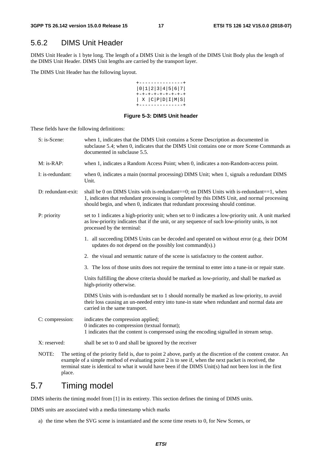## 5.6.2 DIMS Unit Header

DIMS Unit Header is 1 byte long. The length of a DIMS Unit is the length of the DIMS Unit Body plus the length of the DIMS Unit Header. DIMS Unit lengths are carried by the transport layer.

The DIMS Unit Header has the following layout.

| . <u>.</u>                |
|---------------------------|
| 0 1 2 3 4 5 6 7           |
| +-+-+-+-+-+-+-+-+         |
| X   C   P   D   I   M   S |
| -----                     |

### **Figure 5-3: DIMS Unit header**

These fields have the following definitions:

| S: is-Scene:       | when 1, indicates that the DIMS Unit contains a Scene Description as documented in<br>subclause 5.4; when 0, indicates that the DIMS Unit contains one or more Scene Commands as<br>documented in subclause 5.5.                                                                  |
|--------------------|-----------------------------------------------------------------------------------------------------------------------------------------------------------------------------------------------------------------------------------------------------------------------------------|
| $M:$ is-RAP:       | when 1, indicates a Random Access Point; when 0, indicates a non-Random-access point.                                                                                                                                                                                             |
| I: is-redundant:   | when 0, indicates a main (normal processing) DIMS Unit; when 1, signals a redundant DIMS<br>Unit.                                                                                                                                                                                 |
| D: redundant-exit: | shall be 0 on DIMS Units with is-redundant= $=0$ ; on DIMS Units with is-redundant $==1$ , when<br>1, indicates that redundant processing is completed by this DIMS Unit, and normal processing<br>should begin, and when 0, indicates that redundant processing should continue. |
| P: priority        | set to 1 indicates a high-priority unit; when set to 0 indicates a low-priority unit. A unit marked<br>as low-priority indicates that if the unit, or any sequence of such low-priority units, is not<br>processed by the terminal:                                               |
|                    | 1. all succeeding DIMS Units can be decoded and operated on without error (e.g. their DOM<br>updates do not depend on the possibly lost command(s).)                                                                                                                              |
|                    | 2. the visual and semantic nature of the scene is satisfactory to the content author.                                                                                                                                                                                             |
|                    | 3. The loss of those units does not require the terminal to enter into a tune-in or repair state.                                                                                                                                                                                 |
|                    | Units fulfilling the above criteria should be marked as low-priority, and shall be marked as<br>high-priority otherwise.                                                                                                                                                          |
|                    | DIMS Units with is-redundant set to 1 should normally be marked as low-priority, to avoid<br>their loss causing an un-needed entry into tune-in state when redundant and normal data are<br>carried in the same transport.                                                        |
| C: compression:    | indicates the compression applied;<br>0 indicates no compression (textual format);<br>1 indicates that the content is compressed using the encoding signalled in stream setup.                                                                                                    |
| X: reserved:       | shall be set to 0 and shall be ignored by the receiver                                                                                                                                                                                                                            |
| NOTF·              | The setting of the priority field is due to point $\lambda$ above partly at the discretion of the content creator. An                                                                                                                                                             |

ty field is, due to point  $2$  above, partly at the discretion of the content creator. An example of a simple method of evaluating point 2 is to see if, when the next packet is received, the terminal state is identical to what it would have been if the DIMS Unit(s) had not been lost in the first place.

## 5.7 Timing model

DIMS inherits the timing model from [1] in its entirety. This section defines the timing of DIMS units.

DIMS units are associated with a media timestamp which marks

a) the time when the SVG scene is instantiated and the scene time resets to 0, for New Scenes, or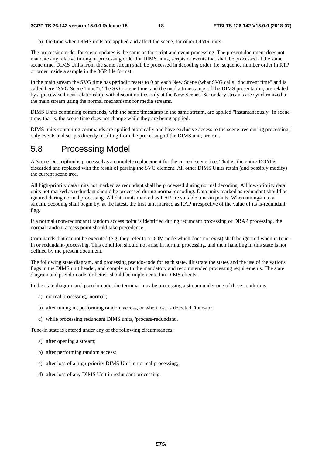b) the time when DIMS units are applied and affect the scene, for other DIMS units.

The processing order for scene updates is the same as for script and event processing. The present document does not mandate any relative timing or processing order for DIMS units, scripts or events that shall be processed at the same scene time. DIMS Units from the same stream shall be processed in decoding order, i.e. sequence number order in RTP or order inside a sample in the 3GP file format.

In the main stream the SVG time has periodic resets to 0 on each New Scene (what SVG calls "document time" and is called here "SVG Scene Time"). The SVG scene time, and the media timestamps of the DIMS presentation, are related by a piecewise linear relationship, with discontinuities only at the New Scenes. Secondary streams are synchronized to the main stream using the normal mechanisms for media streams.

DIMS Units containing commands, with the same timestamp in the same stream, are applied "instantaneously" in scene time, that is, the scene time does not change while they are being applied.

DIMS units containing commands are applied atomically and have exclusive access to the scene tree during processing; only events and scripts directly resulting from the processing of the DIMS unit, are run.

## 5.8 Processing Model

A Scene Description is processed as a complete replacement for the current scene tree. That is, the entire DOM is discarded and replaced with the result of parsing the SVG element. All other DIMS Units retain (and possibly modify) the current scene tree.

All high-priority data units not marked as redundant shall be processed during normal decoding. All low-priority data units not marked as redundant should be processed during normal decoding. Data units marked as redundant should be ignored during normal processing. All data units marked as RAP are suitable tune-in points. When tuning-in to a stream, decoding shall begin by, at the latest, the first unit marked as RAP irrespective of the value of its is-redundant flag.

If a normal (non-redundant) random access point is identified during redundant processing or DRAP processing, the normal random access point should take precedence.

Commands that cannot be executed (e.g. they refer to a DOM node which does not exist) shall be ignored when in tunein or redundant-processing. This condition should not arise in normal processing, and their handling in this state is not defined by the present document.

The following state diagram, and processing pseudo-code for each state, illustrate the states and the use of the various flags in the DIMS unit header, and comply with the mandatory and recommended processing requirements. The state diagram and pseudo-code, or better, should be implemented in DIMS clients.

In the state diagram and pseudo-code, the terminal may be processing a stream under one of three conditions:

- a) normal processing, 'normal';
- b) after tuning in, performing random access, or when loss is detected, 'tune-in';
- c) while processing redundant DIMS units, 'process-redundant'.

Tune-in state is entered under any of the following circumstances:

- a) after opening a stream;
- b) after performing random access;
- c) after loss of a high-priority DIMS Unit in normal processing;
- d) after loss of any DIMS Unit in redundant processing.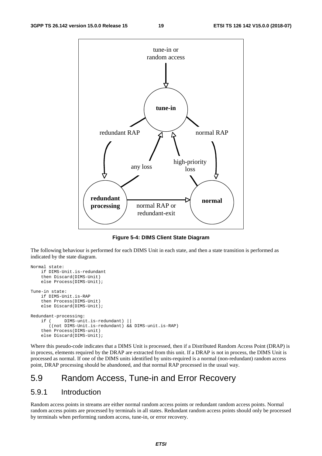

**Figure 5-4: DIMS Client State Diagram** 

The following behaviour is performed for each DIMS Unit in each state, and then a state transition is performed as indicated by the state diagram.

```
Normal state: 
     if DIMS-Unit.is-redundant 
     then Discard(DIMS-Unit) 
     else Process(DIMS-Unit); 
Tune-in state: 
     if DIMS-Unit.is-RAP 
     then Process(DIMS-Unit) 
     else Discard(DIMS-Unit); 
Redundant-processing: 
     if ( DIMS-unit.is-redundant) || 
        ((not DIMS-Unit.is-redundant) && DIMS-unit.is-RAP) 
     then Process(DIMS-unit) 
     else Discard(DIMS-Unit);
```
Where this pseudo-code indicates that a DIMS Unit is processed, then if a Distributed Random Access Point (DRAP) is in process, elements required by the DRAP are extracted from this unit. If a DRAP is not in process, the DIMS Unit is processed as normal. If one of the DIMS units identified by units-required is a normal (non-redundant) random access point, DRAP processing should be abandoned, and that normal RAP processed in the usual way.

## 5.9 Random Access, Tune-in and Error Recovery

## 5.9.1 Introduction

Random access points in streams are either normal random access points or redundant random access points. Normal random access points are processed by terminals in all states. Redundant random access points should only be processed by terminals when performing random access, tune-in, or error recovery.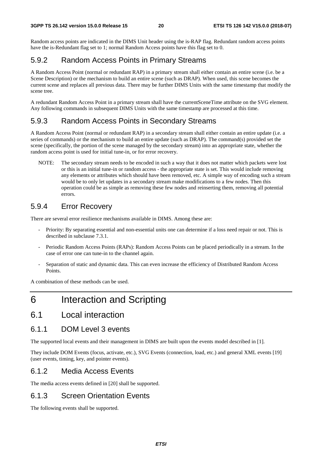Random access points are indicated in the DIMS Unit header using the is-RAP flag. Redundant random access points have the is-Redundant flag set to 1; normal Random Access points have this flag set to 0.

## 5.9.2 Random Access Points in Primary Streams

A Random Access Point (normal or redundant RAP) in a primary stream shall either contain an entire scene (i.e. be a Scene Description) or the mechanism to build an entire scene (such as DRAP). When used, this scene becomes the current scene and replaces all previous data. There may be further DIMS Units with the same timestamp that modify the scene tree.

A redundant Random Access Point in a primary stream shall have the currentSceneTime attribute on the SVG element. Any following commands in subsequent DIMS Units with the same timestamp are processed at this time.

## 5.9.3 Random Access Points in Secondary Streams

A Random Access Point (normal or redundant RAP) in a secondary stream shall either contain an entire update (i.e. a series of commands) or the mechanism to build an entire update (such as DRAP). The command(s) provided set the scene (specifically, the portion of the scene managed by the secondary stream) into an appropriate state, whether the random access point is used for initial tune-in, or for error recovery.

NOTE: The secondary stream needs to be encoded in such a way that it does not matter which packets were lost or this is an initial tune-in or random access - the appropriate state is set. This would include removing any elements or attributes which should have been removed, etc. A simple way of encoding such a stream would be to only let updates in a secondary stream make modifications to a few nodes. Then this operation could be as simple as removing these few nodes and reinserting them, removing all potential errors.

## 5.9.4 Error Recovery

There are several error resilience mechanisms available in DIMS. Among these are:

- Priority: By separating essential and non-essential units one can determine if a loss need repair or not. This is described in subclause 7.3.1.
- Periodic Random Access Points (RAPs): Random Access Points can be placed periodically in a stream. In the case of error one can tune-in to the channel again.
- Separation of static and dynamic data. This can even increase the efficiency of Distributed Random Access Points.

A combination of these methods can be used.

## 6 Interaction and Scripting

6.1 Local interaction

## 6.1.1 DOM Level 3 events

The supported local events and their management in DIMS are built upon the events model described in [1].

They include DOM Events (focus, activate, etc.), SVG Events (connection, load, etc.) and general XML events [19] (user events, timing, key, and pointer events).

### 6.1.2 Media Access Events

The media access events defined in [20] shall be supported.

## 6.1.3 Screen Orientation Events

The following events shall be supported.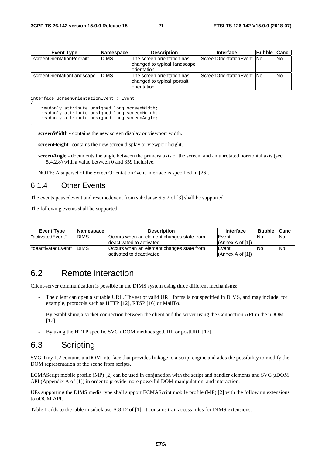| <b>Event Type</b>            | <b>INamespace</b> | <b>Description</b>                                                                | <b>Interface</b>                   | <b>Bubble Canc</b> |      |
|------------------------------|-------------------|-----------------------------------------------------------------------------------|------------------------------------|--------------------|------|
| "screenOrientationPortrait"  | <b>DIMS</b>       | The screen orientation has<br>changed to typical 'landscape'<br>Iorientation      | <b>IScreenOrientationEvent INo</b> |                    | lNo. |
| "screenOrientationLandscape" | <b>IDIMS</b>      | The screen orientation has<br>changed to typical 'portrait'<br><b>orientation</b> | ScreenOrientationEvent INo         |                    | No   |

interface ScreenOrientationEvent : Event

{

}

```
 readonly attribute unsigned long screenWidth; 
readonly attribute unsigned long screenHeight;
 readonly attribute unsigned long screenAngle;
```
**screenWidth** - contains the new screen display or viewport width.

**screenHeight** -contains the new screen display or viewport height.

**screenAngle** - documents the angle between the primary axis of the screen, and an unrotated horizontal axis (see 5.4.2.8) with a value between 0 and 359 inclusive.

NOTE: A superset of the ScreenOrientationEvent interface is specified in [26].

### 6.1.4 Other Events

The events pausedevent and resumedevent from subclause 6.5.2 of [3] shall be supported.

The following events shall be supported.

| <b>Event Type</b>   | <b>Namespace</b> | <b>Description</b>                        | <b>Interface</b> | <b>Bubble</b> | <b>Canc</b> |
|---------------------|------------------|-------------------------------------------|------------------|---------------|-------------|
| l"activatedEvent"   | <b>DIMS</b>      | Occurs when an element changes state from | Event            | lNo           | <b>No</b>   |
|                     |                  | deactivated to activated                  | (Anhex A of [1]) |               |             |
| l"deactivatedEvent" | <b>IDIMS</b>     | Occurs when an element changes state from | Event            | lNo           | lNo.        |
|                     |                  | lactivated to deactivated                 | (Annex A of [1]) |               |             |

## 6.2 Remote interaction

Client-server communication is possible in the DIMS system using three different mechanisms:

- The client can open a suitable URL. The set of valid URL forms is not specified in DIMS, and may include, for example, protocols such as HTTP [12], RTSP [16] or MailTo.
- By establishing a socket connection between the client and the server using the Connection API in the uDOM [17].
- By using the HTTP specific SVG uDOM methods getURL or postURL [17].

## 6.3 Scripting

SVG Tiny 1.2 contains a uDOM interface that provides linkage to a script engine and adds the possibility to modify the DOM representation of the scene from scripts.

ECMAScript mobile profile (MP) [2] can be used in conjunction with the script and handler elements and SVG µDOM API (Appendix A of [1]) in order to provide more powerful DOM manipulation, and interaction.

UEs supporting the DIMS media type shall support ECMAScript mobile profile (MP) [2] with the following extensions to uDOM API.

Table 1 adds to the table in subclause A.8.12 of [1]. It contains trait access rules for DIMS extensions.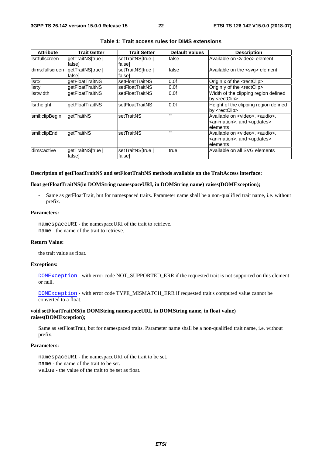| <b>Attribute</b> | <b>Trait Getter</b>         | <b>Trait Setter</b>         | <b>Default Values</b> | <b>Description</b>                                                                                                |
|------------------|-----------------------------|-----------------------------|-----------------------|-------------------------------------------------------------------------------------------------------------------|
| Ilsr:fullscreen  | getTraitNS[true  <br>falsel | setTraitNS[true  <br>falsel | false                 | Available on <video> element</video>                                                                              |
| dims:fullscreen  | getTraitNS[true  <br>falsel | setTraitNS[true  <br>falsel | false                 | Available on the <svg> element</svg>                                                                              |
| lsr:x            | qetFloatTraitNS             | setFloatTraitNS             | 0.0f                  | Origin x of the <rectclip></rectclip>                                                                             |
| lsr:y            | qetFloatTraitNS             | setFloatTraitNS             | 0.0f                  | Origin y of the <rectclip></rectclip>                                                                             |
| Isr:width        | getFloatTraitNS             | setFloatTraitNS             | 0.0f                  | Width of the clipping region defined<br>by <rectclip></rectclip>                                                  |
| Isr:height       | <b>getFloatTraitNS</b>      | <b>IsetFloatTraitNS</b>     | 0.0f                  | Height of the clipping region defined<br>by <rectclip></rectclip>                                                 |
| smil:clipBegin   | getTraitNS                  | <b>setTraitNS</b>           | $\mathbf{H}$          | Available on <video>, <audio>,<br/><animation>, and <updates><br/>lelements</updates></animation></audio></video> |
| smil:clipEnd     | qetTraitNS                  | setTraitNS                  | $\mathbf{H}$          | Available on <video>, <audio>,<br/><animation>, and <updates><br/>lelements</updates></animation></audio></video> |
| dims:active      | getTraitNS[true  <br>falsel | setTraitNS[true  <br>falsel | true                  | Available on all SVG elements                                                                                     |

### **Table 1: Trait access rules for DIMS extensions**

#### **Description of getFloatTraitNS and setFloatTraitNS methods available on the TraitAccess interface:**

#### **float getFloatTraitNS(in DOMString namespaceURI, in DOMString name) raises(DOMException);**

**-** Same as getFloatTrait, but for namespaced traits. Parameter name shall be a non-qualified trait name, i.e. without prefix.

### **Parameters:**

namespaceURI - the namespaceURI of the trait to retrieve. name - the name of the trait to retrieve.

### **Return Value:**

the trait value as float.

#### **Exceptions:**

DOMException - with error code NOT\_SUPPORTED\_ERR if the requested trait is not supported on this element or null.

DOMException - with error code TYPE\_MISMATCH\_ERR if requested trait's computed value cannot be converted to a float.

### **void setFloatTraitNS(in DOMString namespaceURI, in DOMString name, in float value) raises(DOMException);**

Same as setFloatTrait, but for namespaced traits. Parameter name shall be a non-qualified trait name, i.e. without prefix.

### **Parameters:**

namespaceURI - the namespaceURI of the trait to be set. name - the name of the trait to be set. value - the value of the trait to be set as float.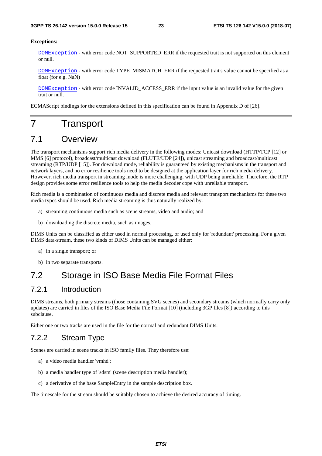#### **Exceptions:**

DOMException - with error code NOT\_SUPPORTED\_ERR if the requested trait is not supported on this element or null.

DOMException - with error code TYPE\_MISMATCH\_ERR if the requested trait's value cannot be specified as a float (for e.g. NaN)

DOMException - with error code INVALID\_ACCESS\_ERR if the input value is an invalid value for the given trait or null.

ECMAScript bindings for the extensions defined in this specification can be found in Appendix D of [26].

## 7 Transport

## 7.1 Overview

The transport mechanisms support rich media delivery in the following modes: Unicast download (HTTP/TCP [12] or MMS [6] protocol), broadcast/multicast download (FLUTE/UDP [24]), unicast streaming and broadcast/multicast streaming (RTP/UDP [15]). For download mode, reliability is guaranteed by existing mechanisms in the transport and network layers, and no error resilience tools need to be designed at the application layer for rich media delivery. However, rich media transport in streaming mode is more challenging, with UDP being unreliable. Therefore, the RTP design provides some error resilience tools to help the media decoder cope with unreliable transport.

Rich media is a combination of continuous media and discrete media and relevant transport mechanisms for these two media types should be used. Rich media streaming is thus naturally realized by:

- a) streaming continuous media such as scene streams, video and audio; and
- b) downloading the discrete media, such as images.

DIMS Units can be classified as either used in normal processing, or used only for 'redundant' processing. For a given DIMS data-stream, these two kinds of DIMS Units can be managed either:

- a) in a single transport; or
- b) in two separate transports.

## 7.2 Storage in ISO Base Media File Format Files

### 7.2.1 Introduction

DIMS streams, both primary streams (those containing SVG scenes) and secondary streams (which normally carry only updates) are carried in files of the ISO Base Media File Format [10] (including 3GP files [8]) according to this subclause.

Either one or two tracks are used in the file for the normal and redundant DIMS Units.

### 7.2.2 Stream Type

Scenes are carried in scene tracks in ISO family files. They therefore use:

- a) a video media handler 'vmhd';
- b) a media handler type of 'sdsm' (scene description media handler);
- c) a derivative of the base SampleEntry in the sample description box.

The timescale for the stream should be suitably chosen to achieve the desired accuracy of timing.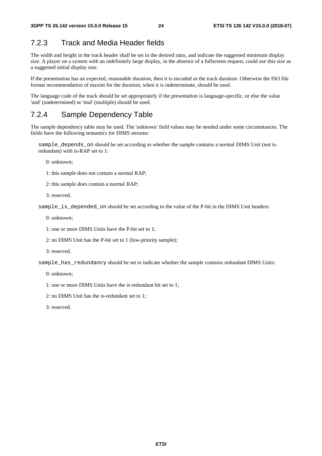## 7.2.3 Track and Media Header fields

The width and height in the track header shall be set in the desired ratio, and indicate the suggested minimum display size. A player on a system with an indefinitely large display, in the absence of a fullscreen request, could use this size as a suggested initial display size.

If the presentation has an expected, reasonable duration, then it is encoded as the track duration. Otherwise the ISO file format recommendation of maxint for the duration, when it is indeterminate, should be used.

The language code of the track should be set appropriately if the presentation is language-specific, or else the value 'und' (undetermined) or 'mul' (multiple) should be used.

## 7.2.4 Sample Dependency Table

The sample dependency table may be used. The 'unknown' field values may be needed under some circumstances. The fields have the following semantics for DIMS streams:

sample\_depends\_on should be set according to whether the sample contains a normal DIMS Unit (not isredundant) with is-RAP set to 1:

0: unknown;

- 1: this sample does not contain a normal RAP;
- 2: this sample does contain a normal RAP;
- 3: reserved.

sample is depended on should be set according to the value of the P-bit in the DIMS Unit headers:

- 0: unknown;
- 1: one or more DIMS Units have the P-bit set to 1;
- 2: no DIMS Unit has the P-bit set to 1 (low-priority sample);
- 3: reserved.

sample\_has\_redundancy should be set to indicate whether the sample contains redundant DIMS Units:

0: unknown;

1: one or more DIMS Units have the is-redundant bit set to 1;

2: no DIMS Unit has the is-redundant set to 1;

3: reserved.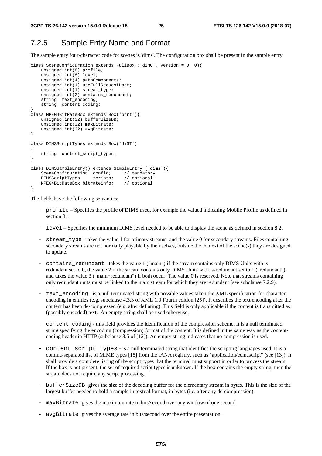## 7.2.5 Sample Entry Name and Format

The sample entry four-character code for scenes is 'dims'. The configuration box shall be present in the sample entry.

```
class SceneConfiguration extends FullBox ('dimC', version = 0, 0){ 
 unsigned int(8) profile; 
 unsigned int(8) level; 
     unsigned int(4) pathComponents; 
    unsigned int(1) useFullRequestHost;
     unsigned int(1) stream_type; 
    unsigned int(2) contains_redundant;
     string text_encoding; 
     string content_coding; 
} 
class MPEG4BitRateBox extends Box('btrt'){ 
     unsigned int(32) bufferSizeDB; 
     unsigned int(32) maxBitrate; 
     unsigned int(32) avgBitrate; 
} 
class DIMSScriptTypes extends Box('diST') 
{ 
    string content script types;
} 
class DIMSSampleEntry() extends SampleEntry ('dims'){ 
    SceneConfiguration config; // mandatory<br>DIMSScriptTypes scripts; // optional
    DIMSScriptTypes scripts; // optional<br>MPEG4BitRateBox bitrateinfo; // optional
    MPEG4BitRateBox bitrateinfo;}
```
The fields have the following semantics:

- profile Specifies the profile of DIMS used, for example the valued indicating Mobile Profile as defined in section 8.1
- level Specifies the minimum DIMS level needed to be able to display the scene as defined in section 8.2.
- stream\_type takes the value 1 for primary streams, and the value 0 for secondary streams. Files containing secondary streams are not normally playable by themselves, outside the context of the scene(s) they are designed to update.
- contains\_redundant takes the value 1 ("main") if the stream contains only DIMS Units with isredundant set to 0, the value 2 if the stream contains only DIMS Units with is-redundant set to 1 ("redundant"), and takes the value 3 ("main+redundant") if both occur. The value 0 is reserved. Note that streams containing only redundant units must be linked to the main stream for which they are redundant (see subclause 7.2.9).
- text\_encoding is a null terminated string with possible values taken the XML specification for character encoding in entities (e.g. subclause 4.3.3 of XML 1.0 Fourth edition [25]). It describes the text encoding after the content has been de-compressed (e.g. after deflating). This field is only applicable if the content is transmitted as (possibly encoded) text. An empty string shall be used otherwise.
- content coding this field provides the identification of the compression scheme. It is a null terminated string specifying the encoding (compression) format of the content. It is defined in the same way as the contentcoding header in HTTP (subclause 3.5 of [12]). An empty string indicates that no compression is used.
- content\_script\_types is a null terminated string that identifies the scripting languages used. It is a comma-separated list of MIME types [18] from the IANA registry, such as "application/ecmascript" (see [13]). It shall provide a complete listing of the script types that the terminal must support in order to process the stream. If the box is not present, the set of required script types is unknown. If the box contains the empty string, then the stream does not require any script processing.
- bufferSizeDB gives the size of the decoding buffer for the elementary stream in bytes. This is the size of the largest buffer needed to hold a sample in textual format, in bytes (i.e. after any de-compression).
- maxBitrate gives the maximum rate in bits/second over any window of one second.
- avgBitrate gives the average rate in bits/second over the entire presentation.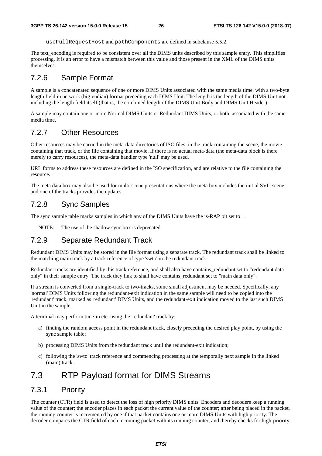useFullRequestHost and pathComponents are defined in subclause 5.5.2.

The text encoding is required to be consistent over all the DIMS units described by this sample entry. This simplifies processing. It is an error to have a mismatch between this value and those present in the XML of the DIMS units themselves.

## 7.2.6 Sample Format

A sample is a concatenated sequence of one or more DIMS Units associated with the same media time, with a two-byte length field in network (big-endian) format preceding each DIMS Unit. The length is the length of the DIMS Unit not including the length field itself (that is, the combined length of the DIMS Unit Body and DIMS Unit Header).

A sample may contain one or more Normal DIMS Units or Redundant DIMS Units, or both, associated with the same media time.

### 7.2.7 Other Resources

Other resources may be carried in the meta-data directories of ISO files, in the track containing the scene, the movie containing that track, or the file containing that movie. If there is no actual meta-data (the meta-data block is there merely to carry resources), the meta-data handler type 'null' may be used.

URL forms to address these resources are defined in the ISO specification, and are relative to the file containing the resource.

The meta data box may also be used for multi-scene presentations where the meta box includes the initial SVG scene, and one of the tracks provides the updates.

### 7.2.8 Sync Samples

The sync sample table marks samples in which any of the DIMS Units have the is-RAP bit set to 1.

NOTE: The use of the shadow sync box is deprecated.

## 7.2.9 Separate Redundant Track

Redundant DIMS Units may be stored in the file format using a separate track. The redundant track shall be linked to the matching main track by a track reference of type 'swto' in the redundant track.

Redundant tracks are identified by this track reference, and shall also have contains\_redundant set to "redundant data only" in their sample entry. The track they link to shall have contains\_redundant set to "main data only".

If a stream is converted from a single-track to two-tracks, some small adjustment may be needed. Specifically, any 'normal' DIMS Units following the redundant-exit indication in the same sample will need to be copied into the 'redundant' track, marked as 'redundant' DIMS Units, and the redundant-exit indication moved to the last such DIMS Unit in the sample.

A terminal may perform tune-in etc. using the 'redundant' track by:

- a) finding the random access point in the redundant track, closely preceding the desired play point, by using the sync sample table;
- b) processing DIMS Units from the redundant track until the redundant-exit indication;
- c) following the 'swto' track reference and commencing processing at the temporally next sample in the linked (main) track.

## 7.3 RTP Payload format for DIMS Streams

### 7.3.1 Priority

The counter (CTR) field is used to detect the loss of high priority DIMS units. Encoders and decoders keep a running value of the counter; the encoder places in each packet the current value of the counter; after being placed in the packet, the running counter is incremented by one if that packet contains one or more DIMS Units with high priority. The decoder compares the CTR field of each incoming packet with its running counter, and thereby checks for high-priority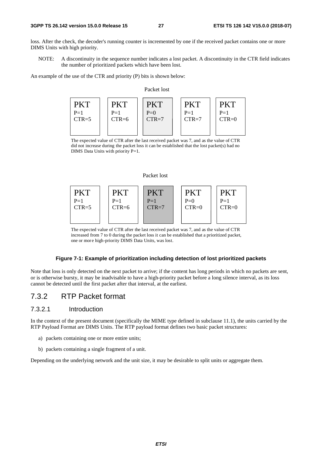loss. After the check, the decoder's running counter is incremented by one if the received packet contains one or more DIMS Units with high priority.

NOTE: A discontinuity in the sequence number indicates a lost packet. A discontinuity in the CTR field indicates the number of prioritized packets which have been lost.

An example of the use of the CTR and priority (P) bits is shown below:

#### Packet lost

| ⁄K      |         | PK I    |         |         |
|---------|---------|---------|---------|---------|
| $P=1$   | $P=1$   | $P=0$   | $P=1$   | $P=1$   |
| $CTR=5$ | $CTR=6$ | $CTR=7$ | $CTR=7$ | $CTR=0$ |

The expected value of CTR after the last received packet was 7, and as the value of CTR did not increase during the packet loss it can be established that the lost packet(s) had no DIMS Data Units with priority P=1.

### Packet lost



The expected value of CTR after the last received packet was 7, and as the value of CTR increased from 7 to 0 during the packet loss it can be established that a prioritized packet, one or more high-priority DIMS Data Units, was lost.

### **Figure 7-1: Example of prioritization including detection of lost prioritized packets**

Note that loss is only detected on the next packet to arrive; if the content has long periods in which no packets are sent, or is otherwise bursty, it may be inadvisable to have a high-priority packet before a long silence interval, as its loss cannot be detected until the first packet after that interval, at the earliest.

## 7.3.2 RTP Packet format

### 7.3.2.1 Introduction

In the context of the present document (specifically the MIME type defined in subclause 11.1), the units carried by the RTP Payload Format are DIMS Units. The RTP payload format defines two basic packet structures:

- a) packets containing one or more entire units;
- b) packets containing a single fragment of a unit.

Depending on the underlying network and the unit size, it may be desirable to split units or aggregate them.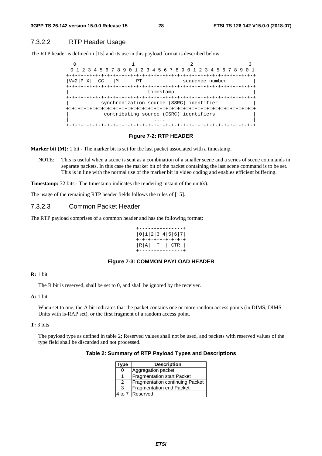### 7.3.2.2 RTP Header Usage

The RTP header is defined in [15] and its use in this payload format is described below.



#### **Figure 7-2: RTP HEADER**

**Marker bit (M):** 1 bit - The marker bit is set for the last packet associated with a timestamp.

NOTE: This is useful when a scene is sent as a combination of a smaller scene and a series of scene commands in separate packets. In this case the marker bit of the packet containing the last scene command is to be set. This is in line with the normal use of the marker bit in video coding and enables efficient buffering.

**Timestamp:** 32 bits - The timestamp indicates the rendering instant of the unit(s).

The usage of the remaining RTP header fields follows the rules of [15].

### 7.3.2.3 Common Packet Header

The RTP payload comprises of a common header and has the following format:

|       | 0 1 2 3 4 5 6 7   |  |
|-------|-------------------|--|
|       | +-+-+-+-+-+-+-+-+ |  |
|       |                   |  |
|       | $ R A $ T $ CTR $ |  |
| ----- |                   |  |

### **Figure 7-3: COMMON PAYLOAD HEADER**

#### **R:** 1 bit

The R bit is reserved, shall be set to 0, and shall be ignored by the receiver.

### **A:** 1 bit

When set to one, the A bit indicates that the packet contains one or more random access points (in DIMS, DIMS Units with is-RAP set), or the first fragment of a random access point.

#### **T:** 3 bits

The payload type as defined in table 2; Reserved values shall not be used, and packets with reserved values of the type field shall be discarded and not processed.

### **Table 2: Summary of RTP Payload Types and Descriptions**

| ype                                    | <b>Description</b>                     |  |  |
|----------------------------------------|----------------------------------------|--|--|
| 0                                      | Aggregation packet                     |  |  |
| <b>Fragmentation start Packet</b><br>1 |                                        |  |  |
| 2                                      | <b>Fragmentation continuing Packet</b> |  |  |
| 3                                      | <b>Fragmentation end Packet</b>        |  |  |
| 4 to 7 Reserved                        |                                        |  |  |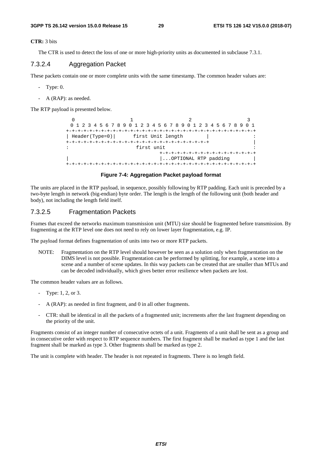**CTR:** 3 bits

The CTR is used to detect the loss of one or more high-priority units as documented in subclause 7.3.1.

### 7.3.2.4 Aggregation Packet

These packets contain one or more complete units with the same timestamp. The common header values are:

- Type: 0.
- A (RAP): as needed.

The RTP payload is presented below.

0  $1$   $2$   $3$  0 1 2 3 4 5 6 7 8 9 0 1 2 3 4 5 6 7 8 9 0 1 2 3 4 5 6 7 8 9 0 1 +-+-+-+-+-+-+-+-+-+-+-+-+-+-+-+-+-+-+-+-+-+-+-+-+-+-+-+-+-+-+-+-+ | Header(Type=0)| first Unit length | +-+-+-+-+-+-+-+-+-+-+-+-+-+-+-+-+-+-+-+-+-+-+-+-+ | : first unit : +-+-+-+-+-+-+-+-+-+-+-+-+-+-+-+-+ | ...OPTIONAL RTP padding | +-+-+-+-+-+-+-+-+-+-+-+-+-+-+-+-+-+-+-+-+-+-+-+-+-+-+-+-+-+-+-+-+

### **Figure 7-4: Aggregation Packet payload format**

The units are placed in the RTP payload, in sequence, possibly following by RTP padding. Each unit is preceded by a two-byte length in network (big-endian) byte order. The length is the length of the following unit (both header and body), not including the length field itself.

### 7.3.2.5 Fragmentation Packets

Frames that exceed the networks maximum transmission unit (MTU) size should be fragmented before transmission. By fragmenting at the RTP level one does not need to rely on lower layer fragmentation, e.g. IP.

The payload format defines fragmentation of units into two or more RTP packets.

NOTE: Fragmentation on the RTP level should however be seen as a solution only when fragmentation on the DIMS level is not possible. Fragmentation can be performed by splitting, for example, a scene into a scene and a number of scene updates. In this way packets can be created that are smaller than MTUs and can be decoded individually, which gives better error resilience when packets are lost.

The common header values are as follows.

- Type: 1, 2, or 3.
- A (RAP): as needed in first fragment, and 0 in all other fragments.
- CTR: shall be identical in all the packets of a fragmented unit; increments after the last fragment depending on the priority of the unit.

Fragments consist of an integer number of consecutive octets of a unit. Fragments of a unit shall be sent as a group and in consecutive order with respect to RTP sequence numbers. The first fragment shall be marked as type 1 and the last fragment shall be marked as type 3. Other fragments shall be marked as type 2.

The unit is complete with header. The header is not repeated in fragments. There is no length field.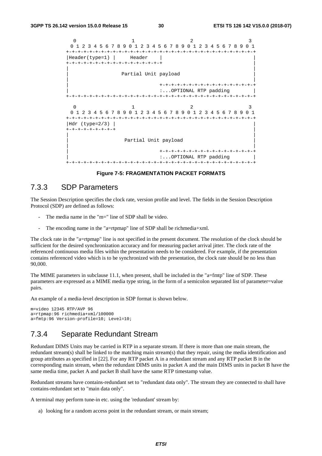```
0 1 2 3
 0 1 2 3 4 5 6 7 8 9 0 1 2 3 4 5 6 7 8 9 0 1 2 3 4 5 6 7 8 9 0 1 
+-+-+-+-+-+-+-+-+-+-+-+-+-+-+-+-+-+-+-+-+-+-+-+-+-+-+-+-+-+-+-+-+ 
|Header(type=1) | Header |
+-+-+-+-+-+-+-+-+-+-+-+-+-+-+-+-+ | 
| | 
             Partial Unit payload
| | 
                      | +-+-+-+-+-+-+-+-+-+-+-+-+-+-+-+-+ 
                      | :...OPTIONAL RTP padding | 
+-+-+-+-+-+-+-+-+-+-+-+-+-+-+-+-+-+-+-+-+-+-+-+-+-+-+-+-+-+-+-+-+ 
 0 1 2 3
 0 1 2 3 4 5 6 7 8 9 0 1 2 3 4 5 6 7 8 9 0 1 2 3 4 5 6 7 8 9 0 1 
+-+-+-+-+-+-+-+-+-+-+-+-+-+-+-+-+-+-+-+-+-+-+-+-+-+-+-+-+-+-+-+-+ 
|Hdr (type=2/3) | | 
+-+-+-+-+-+-+-+-+ | 
| | 
             Partial Unit payload
| | 
                      | +-+-+-+-+-+-+-+-+-+-+-+-+-+-+-+-+ 
                      | :...OPTIONAL RTP padding | 
+-+-+-+-+-+-+-+-+-+-+-+-+-+-+-+-+-+-+-+-+-+-+-+-+-+-+-+-+-+-+-+-+
```
**Figure 7-5: FRAGMENTATION PACKET FORMATS** 

### 7.3.3 SDP Parameters

The Session Description specifies the clock rate, version profile and level. The fields in the Session Description Protocol (SDP) are defined as follows:

- The media name in the "m=" line of SDP shall be video.
- The encoding name in the "a=rtpmap" line of SDP shall be richmedia+xml.

The clock rate in the "a=rtpmap" line is not specified in the present document. The resolution of the clock should be sufficient for the desired synchronization accuracy and for measuring packet arrival jitter. The clock rate of the referenced continuous media files within the presentation needs to be considered. For example, if the presentation contains referenced video which is to be synchronized with the presentation, the clock rate should be no less than 90,000.

The MIME parameters in subclause 11.1, when present, shall be included in the "a=fmtp" line of SDP. These parameters are expressed as a MIME media type string, in the form of a semicolon separated list of parameter=value pairs.

An example of a media-level description in SDP format is shown below.

```
m=video 12345 RTP/AVP 96 
a=rtpmap:96 richmedia+xml/100000 
a=fmtp:96 Version-profile=10; Level=10;
```
## 7.3.4 Separate Redundant Stream

Redundant DIMS Units may be carried in RTP in a separate stream. If there is more than one main stream, the redundant stream(s) shall be linked to the matching main stream(s) that they repair, using the media identification and group attributes as specified in [22]. For any RTP packet A in a redundant stream and any RTP packet B in the corresponding main stream, when the redundant DIMS units in packet A and the main DIMS units in packet B have the same media time, packet A and packet B shall have the same RTP timestamp value.

Redundant streams have contains-redundant set to "redundant data only". The stream they are connected to shall have contains-redundant set to "main data only".

A terminal may perform tune-in etc. using the 'redundant' stream by:

a) looking for a random access point in the redundant stream, or main stream;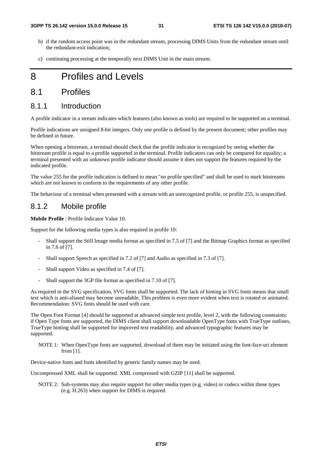- b) if the random access point was in the redundant stream, processing DIMS Units from the redundant stream until the redundant-exit indication;
- c) continuing processing at the temporally next DIMS Unit in the main stream.

## 8 Profiles and Levels

## 8.1 Profiles

### 8.1.1 Introduction

A profile indicator in a stream indicates which features (also known as tools) are required to be supported on a terminal.

Profile indications are unsigned 8-bit integers. Only one profile is defined by the present document; other profiles may be defined in future.

When opening a bitstream, a terminal should check that the profile indicator is recognized by seeing whether the bitstream profile is equal to a profile supported in the terminal. Profile indicators can only be compared for equality; a terminal presented with an unknown profile indicator should assume it does not support the features required by the indicated profile.

The value 255 for the profile indication is defined to mean "no profile specified" and shall be used to mark bitstreams which are not known to conform to the requirements of any other profile.

The behaviour of a terminal when presented with a stream with an unrecognized profile, or profile 255, is unspecified.

### 8.1.2 Mobile profile

**Mobile Profile** : Profile Indicator Value 10.

Support for the following media types is also required in profile 10:

- Shall support the Still Image media format as specified in 7.5 of [7] and the Bitmap Graphics format as specified in 7.6 of [7].
- Shall support Speech as specified in 7.2 of [7] and Audio as specified in 7.3 of [7].
- Shall support Video as specified in 7.4 of [7].
- Shall support the 3GP file format as specified in 7.10 of [7].

As required in the SVG specification, SVG fonts shall be supported. The lack of hinting in SVG fonts means that small text which is anti-aliased may become unreadable. This problem is even more evident when text is rotated or animated. Recommendation: SVG fonts should be used with care.

The Open Font Format [4] should be supported at advanced simple text profile, level 2, with the following constraints: if Open Type fonts are supported, the DIMS client shall support downloadable OpenType fonts with TrueType outlines, TrueType hinting shall be supported for improved text readability, and advanced typographic features may be supported.

NOTE 1: When OpenType fonts are supported, download of them may be initiated using the font-face-uri element from [1].

Device-native fonts and fonts identified by generic family names may be used.

Uncompressed XML shall be supported. XML compressed with GZIP [11] shall be supported.

NOTE 2: Sub-systems may also require support for other media types (e.g. video) or codecs within those types (e.g. H.263) when support for DIMS is required.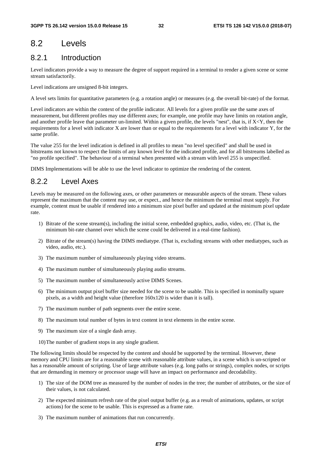## 8.2 Levels

## 8.2.1 Introduction

Level indicators provide a way to measure the degree of support required in a terminal to render a given scene or scene stream satisfactorily.

Level indications are unsigned 8-bit integers.

A level sets limits for quantitative parameters (e.g. a rotation angle) or measures (e.g. the overall bit-rate) of the format.

Level indicators are within the context of the profile indicator. All levels for a given profile use the same axes of measurement, but different profiles may use different axes; for example, one profile may have limits on rotation angle, and another profile leave that parameter un-limited. Within a given profile, the levels "nest", that is, if X<Y, then the requirements for a level with indicator X are lower than or equal to the requirements for a level with indicator Y, for the same profile.

The value 255 for the level indication is defined in all profiles to mean "no level specified" and shall be used in bitstreams not known to respect the limits of any known level for the indicated profile, and for all bitstreams labelled as "no profile specified". The behaviour of a terminal when presented with a stream with level 255 is unspecified.

DIMS Implementations will be able to use the level indicator to optimize the rendering of the content.

## 8.2.2 Level Axes

Levels may be measured on the following axes, or other parameters or measurable aspects of the stream. These values represent the maximum that the content may use, or expect., and hence the minimum the terminal must supply. For example, content must be usable if rendered into a minimum size pixel buffer and updated at the minimum pixel update rate.

- 1) Bitrate of the scene stream(s), including the initial scene, embedded graphics, audio, video, etc. (That is, the minimum bit-rate channel over which the scene could be delivered in a real-time fashion).
- 2) Bitrate of the stream(s) having the DIMS mediatype. (That is, excluding streams with other mediatypes, such as video, audio, etc.).
- 3) The maximum number of simultaneously playing video streams.
- 4) The maximum number of simultaneously playing audio streams.
- 5) The maximum number of simultaneously active DIMS Scenes.
- 6) The minimum output pixel buffer size needed for the scene to be usable. This is specified in nominally square pixels, as a width and height value (therefore 160x120 is wider than it is tall).
- 7) The maximum number of path segments over the entire scene.
- 8) The maximum total number of bytes in text content in text elements in the entire scene.
- 9) The maximum size of a single dash array.
- 10) The number of gradient stops in any single gradient.

The following limits should be respected by the content and should be supported by the terminal. However, these memory and CPU limits are for a reasonable scene with reasonable attribute values, in a scene which is un-scripted or has a reasonable amount of scripting. Use of large attribute values (e.g. long paths or strings), complex nodes, or scripts that are demanding in memory or processor usage will have an impact on performance and decodability.

- 1) The size of the DOM tree as measured by the number of nodes in the tree; the number of attributes, or the size of their values, is not calculated.
- 2) The expected minimum refresh rate of the pixel output buffer (e.g. as a result of animations, updates, or script actions) for the scene to be usable. This is expressed as a frame rate.
- 3) The maximum number of animations that run concurrently.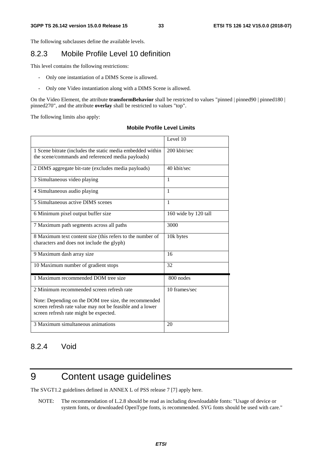The following subclauses define the available levels.

## 8.2.3 Mobile Profile Level 10 definition

This level contains the following restrictions:

- Only one instantiation of a DIMS Scene is allowed.
- Only one Video instantiation along with a DIMS Scene is allowed.

On the Video Element, the attribute **transformBehavior** shall be restricted to values "pinned | pinned90 | pinned180 | pinned270", and the attribute **overlay** shall be restricted to values "top".

The following limits also apply:

### **Mobile Profile Level Limits**

|                                                                                                                                                              | Level 10             |
|--------------------------------------------------------------------------------------------------------------------------------------------------------------|----------------------|
| 1 Scene bitrate (includes the static media embedded within<br>the scene/commands and referenced media payloads)                                              | 200 kbit/sec         |
| 2 DIMS aggregate bit-rate (excludes media payloads)                                                                                                          | 40 kbit/sec          |
| 3 Simultaneous video playing                                                                                                                                 | 1                    |
| 4 Simultaneous audio playing                                                                                                                                 | 1                    |
| 5 Simultaneous active DIMS scenes                                                                                                                            | 1                    |
| 6 Minimum pixel output buffer size                                                                                                                           | 160 wide by 120 tall |
| 7 Maximum path segments across all paths                                                                                                                     | 3000                 |
| 8 Maximum text content size (this refers to the number of<br>characters and does not include the glyph)                                                      | 10k bytes            |
| 9 Maximum dash array size                                                                                                                                    | 16                   |
| 10 Maximum number of gradient stops                                                                                                                          | 32                   |
| 1 Maximum recommended DOM tree size                                                                                                                          | 800 nodes            |
| 2 Minimum recommended screen refresh rate                                                                                                                    | 10 frames/sec        |
| Note: Depending on the DOM tree size, the recommended<br>screen refresh rate value may not be feasible and a lower<br>screen refresh rate might be expected. |                      |
| 3 Maximum simultaneous animations                                                                                                                            | 20                   |

### 8.2.4 Void

## 9 Content usage guidelines

The SVGT1.2 guidelines defined in ANNEX L of PSS release 7 [7] apply here.

NOTE: The recommendation of L.2.8 should be read as including downloadable fonts: "Usage of device or system fonts, or downloaded OpenType fonts, is recommended. SVG fonts should be used with care."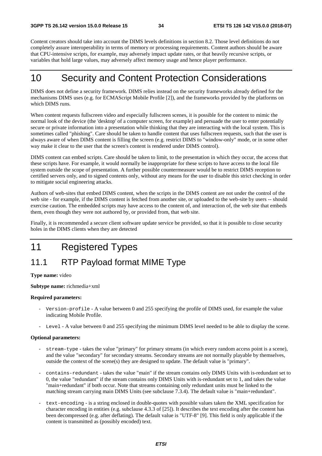Content creators should take into account the DIMS levels definitions in section 8.2. Those level definitions do not completely assure interoperability in terms of memory or processing requirements. Content authors should be aware that CPU-intensive scripts, for example, may adversely impact update rates, or that heavily recursive scripts, or variables that hold large values, may adversely affect memory usage and hence player performance.

## 10 Security and Content Protection Considerations

DIMS does not define a security framework. DIMS relies instead on the security frameworks already defined for the mechanisms DIMS uses (e.g. for ECMAScript Mobile Profile [2]), and the frameworks provided by the platforms on which DIMS runs.

When content requests fullscreen video and especially fullscreen scenes, it is possible for the content to mimic the normal look of the device (the 'desktop' of a computer screen, for example) and persuade the user to enter potentially secure or private information into a presentation while thinking that they are interacting with the local system. This is sometimes called "phishing". Care should be taken to handle content that uses fullscreen requests, such that the user is always aware of when DIMS content is filling the screen (e.g. restrict DIMS to "window-only" mode, or in some other way make it clear to the user that the screen's content is rendered under DIMS control).

DIMS content can embed scripts. Care should be taken to limit, to the presentation in which they occur, the access that these scripts have. For example, it would normally be inappropriate for these scripts to have access to the local file system outside the scope of presentation. A further possible countermeasure would be to restrict DIMS reception to certified servers only, and to signed contents only, without any means for the user to disable this strict checking in order to mitigate social engineering attacks.

Authors of web-sites that embed DIMS content, when the scripts in the DIMS content are not under the control of the web site - for example, if the DIMS content is fetched from another site, or uploaded to the web-site by users -- should exercise caution. The embedded scripts may have access to the content of, and interaction of, the web site that embeds them, even though they were not authored by, or provided from, that web site.

Finally, it is recommended a secure client software update service be provided, so that it is possible to close security holes in the DIMS clients when they are detected

## 11 Registered Types

## 11.1 RTP Payload format MIME Type

#### **Type name:** video

**Subtype name:** richmedia+xml

#### **Required parameters:**

- Version-profile A value between 0 and 255 specifying the profile of DIMS used, for example the value indicating Mobile Profile.
- Level A value between 0 and 255 specifying the minimum DIMS level needed to be able to display the scene.

### **Optional parameters:**

- stream-type takes the value "primary" for primary streams (in which every random access point is a scene), and the value "secondary" for secondary streams. Secondary streams are not normally playable by themselves, outside the context of the scene(s) they are designed to update. The default value is "primary".
- contains-redundant takes the value "main" if the stream contains only DIMS Units with is-redundant set to 0, the value "redundant" if the stream contains only DIMS Units with is-redundant set to 1, and takes the value "main+redundant" if both occur. Note that streams containing only redundant units must be linked to the matching stream carrying main DIMS Units (see subclause 7.3.4). The default value is "main+redundant".
- text-encoding is a string enclosed in double-quotes with possible values taken the XML specification for character encoding in entities (e.g. subclause 4.3.3 of [25]). It describes the text encoding after the content has been decompressed (e.g. after deflating). The default value is "UTF-8" [9]. This field is only applicable if the content is transmitted as (possibly encoded) text.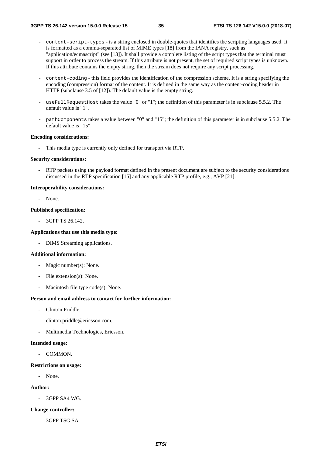- content-script-types is a string enclosed in double-quotes that identifies the scripting languages used. It is formatted as a comma-separated list of MIME types [18] from the IANA registry, such as "application/ecmascript" (see [13]). It shall provide a complete listing of the script types that the terminal must support in order to process the stream. If this attribute is not present, the set of required script types is unknown. If this attribute contains the empty string, then the stream does not require any script processing.
- content-coding this field provides the identification of the compression scheme. It is a string specifying the encoding (compression) format of the content. It is defined in the same way as the content-coding header in HTTP (subclause 3.5 of [12]). The default value is the empty string.
- useFullRequestHost takes the value "0" or "1"; the definition of this parameter is in subclause 5.5.2. The default value is "1".
- pathComponents takes a value between "0" and "15"; the definition of this parameter is in subclause 5.5.2. The default value is "15".

#### **Encoding considerations:**

This media type is currently only defined for transport via RTP.

#### **Security considerations:**

- RTP packets using the payload format defined in the present document are subject to the security considerations discussed in the RTP specification [15] and any applicable RTP profile, e.g., AVP [21].

### **Interoperability considerations:**

- None.

### **Published specification:**

- 3GPP TS 26.142.

#### **Applications that use this media type:**

- DIMS Streaming applications.

#### **Additional information:**

- Magic number(s): None.
- File extension(s): None.
- Macintosh file type code(s): None.

#### **Person and email address to contact for further information:**

- Clinton Priddle.
- clinton.priddle@ericsson.com.
- Multimedia Technologies, Ericsson.

#### **Intended usage:**

- COMMON.

#### **Restrictions on usage:**

- None.

### **Author:**

- 3GPP SA4 WG.

#### **Change controller:**

- 3GPP TSG SA.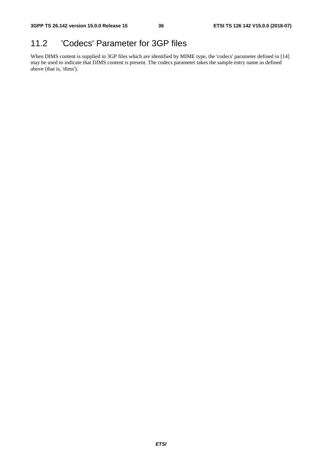## 11.2 'Codecs' Parameter for 3GP files

When DIMS content is supplied in 3GP files which are identified by MIME type, the 'codecs' parameter defined in [14] may be used to indicate that DIMS content is present. The codecs parameter takes the sample entry name as defined above (that is, 'dims').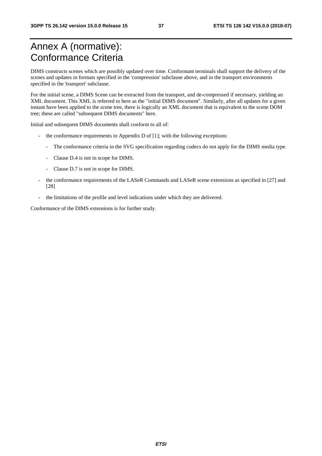## Annex A (normative): Conformance Criteria

DIMS constructs scenes which are possibly updated over time. Conformant terminals shall support the delivery of the scenes and updates in formats specified in the 'compression' subclause above, and in the transport environments specified in the 'transport' subclause.

For the initial scene, a DIMS Scene can be extracted from the transport, and de-compressed if necessary, yielding an XML document. This XML is referred to here as the "initial DIMS document". Similarly, after all updates for a given instant have been applied to the scene tree, there is logically an XML document that is equivalent to the scene DOM tree; these are called "subsequent DIMS documents" here.

Initial and subsequent DIMS documents shall conform to all of:

- the conformance requirements in Appendix D of [1]; with the following exceptions:
	- The conformance criteria in the SVG specification regarding codecs do not apply for the DIMS media type.
	- Clause D.4 is not in scope for DIMS.
	- Clause D.7 is not in scope for DIMS.
- the conformance requirements of the LASeR Commands and LASeR scene extensions as specified in [27] and [28]
- the limitations of the profile and level indications under which they are delivered.

Conformance of the DIMS extensions is for further study.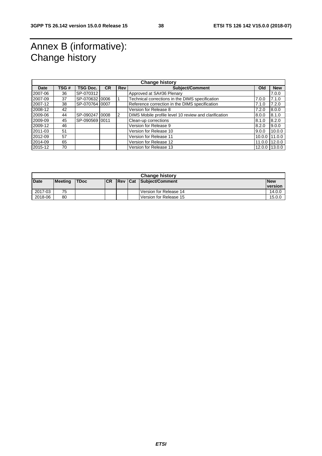## Annex B (informative): Change history

| <b>Change history</b> |      |                 |           |                |                                                       |            |            |  |  |
|-----------------------|------|-----------------|-----------|----------------|-------------------------------------------------------|------------|------------|--|--|
| Date                  | TSG# | <b>TSG Doc.</b> | <b>CR</b> | <b>Rev</b>     | <b>Subject/Comment</b>                                | Old        | <b>New</b> |  |  |
| 2007-06               | 36   | SP-070312       |           |                | Approved at SA#36 Plenary                             |            | 7.0.0      |  |  |
| 2007-09               | 37   | SP-070632 0006  |           |                | Technical corrections in the DIMS specification       | 7.0.0      | 7.1.0      |  |  |
| 2007-12               | 38   | SP-070764 0007  |           |                | Reference correction in the DIMS specification        | 7.1.0      | 7.2.0      |  |  |
| 2008-12               | 42   |                 |           |                | Version for Release 8                                 | 7.2.0      | 8.0.0      |  |  |
| 2009-06               | 44   | SP-090247 0008  |           | $\overline{2}$ | DIMS Mobile profile level 10 review and clarification | 8.0.0      | 8.1.0      |  |  |
| 2009-09               | 45   | SP-090569 0011  |           |                | Clean-up corrections                                  | 8.1.0      | 8.2.0      |  |  |
| 2009-12               | 46   |                 |           |                | Version for Release 9                                 | 8.2.0      | 9.0.0      |  |  |
| 2011-03               | 51   |                 |           |                | Version for Release 10                                | 9.0.0      | 10.0.0     |  |  |
| 2012-09               | 57   |                 |           |                | Version for Release 11                                | 10.0.0     | 11.0.0     |  |  |
| 2014-09               | 65   |                 |           |                | Version for Release 12                                | 11.0.0     | 12.0.0     |  |  |
| 2015-12               | 70   |                 |           |                | Version for Release 13                                | $12.0.0$ I | 13.0.0     |  |  |

| <b>Change history</b> |                |             |            |             |  |                        |                |  |  |
|-----------------------|----------------|-------------|------------|-------------|--|------------------------|----------------|--|--|
| <b>Date</b>           | <b>Meeting</b> | <b>TDoc</b> | <b>ICR</b> | <b>IRev</b> |  | Cat Subject/Comment    | <b>New</b>     |  |  |
|                       |                |             |            |             |  |                        | <b>version</b> |  |  |
| 2017-03               | 75             |             |            |             |  | Version for Release 14 | 14.0.0         |  |  |
| 2018-06               | 80             |             |            |             |  | Version for Release 15 | 15.0.0         |  |  |